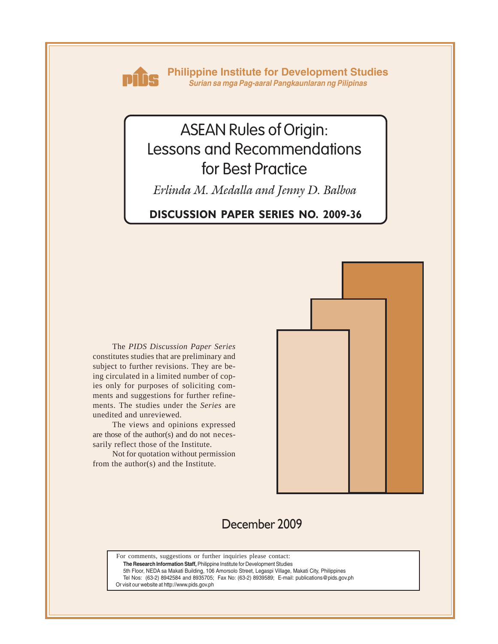

**Philippine Institute for Development Studies** *Surian sa mga Pag-aaral Pangkaunlaran ng Pilipinas*

# ASEAN Rules of Origin: Lessons and Recommendations for Best Practice

*Erlinda M. Medalla and Jenny D. Balboa*

# **DISCUSSION PAPER SERIES NO. 2009-36**

The *PIDS Discussion Paper Series* constitutes studies that are preliminary and subject to further revisions. They are being circulated in a limited number of copies only for purposes of soliciting comments and suggestions for further refinements. The studies under the *Series* are unedited and unreviewed.

The views and opinions expressed are those of the author(s) and do not necessarily reflect those of the Institute.

Not for quotation without permission from the author(s) and the Institute.



# December 2009

For comments, suggestions or further inquiries please contact:

**The Research Information Staff,** Philippine Institute for Development Studies

5th Floor, NEDA sa Makati Building, 106 Amorsolo Street, Legaspi Village, Makati City, Philippines

Tel Nos: (63-2) 8942584 and 8935705; Fax No: (63-2) 8939589; E-mail: publications@pids.gov.ph

Or visit our website at http://www.pids.gov.ph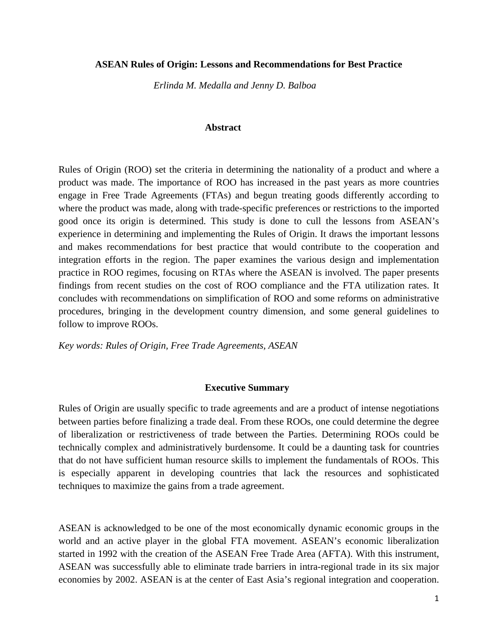#### **ASEAN Rules of Origin: Lessons and Recommendations for Best Practice**

*Erlinda M. Medalla and Jenny D. Balboa* 

#### **Abstract**

Rules of Origin (ROO) set the criteria in determining the nationality of a product and where a product was made. The importance of ROO has increased in the past years as more countries engage in Free Trade Agreements (FTAs) and begun treating goods differently according to where the product was made, along with trade-specific preferences or restrictions to the imported good once its origin is determined. This study is done to cull the lessons from ASEAN's experience in determining and implementing the Rules of Origin. It draws the important lessons and makes recommendations for best practice that would contribute to the cooperation and integration efforts in the region. The paper examines the various design and implementation practice in ROO regimes, focusing on RTAs where the ASEAN is involved. The paper presents findings from recent studies on the cost of ROO compliance and the FTA utilization rates. It concludes with recommendations on simplification of ROO and some reforms on administrative procedures, bringing in the development country dimension, and some general guidelines to follow to improve ROOs.

*Key words: Rules of Origin, Free Trade Agreements, ASEAN* 

#### **Executive Summary**

Rules of Origin are usually specific to trade agreements and are a product of intense negotiations between parties before finalizing a trade deal. From these ROOs, one could determine the degree of liberalization or restrictiveness of trade between the Parties. Determining ROOs could be technically complex and administratively burdensome. It could be a daunting task for countries that do not have sufficient human resource skills to implement the fundamentals of ROOs. This is especially apparent in developing countries that lack the resources and sophisticated techniques to maximize the gains from a trade agreement.

ASEAN is acknowledged to be one of the most economically dynamic economic groups in the world and an active player in the global FTA movement. ASEAN's economic liberalization started in 1992 with the creation of the ASEAN Free Trade Area (AFTA). With this instrument, ASEAN was successfully able to eliminate trade barriers in intra-regional trade in its six major economies by 2002. ASEAN is at the center of East Asia's regional integration and cooperation.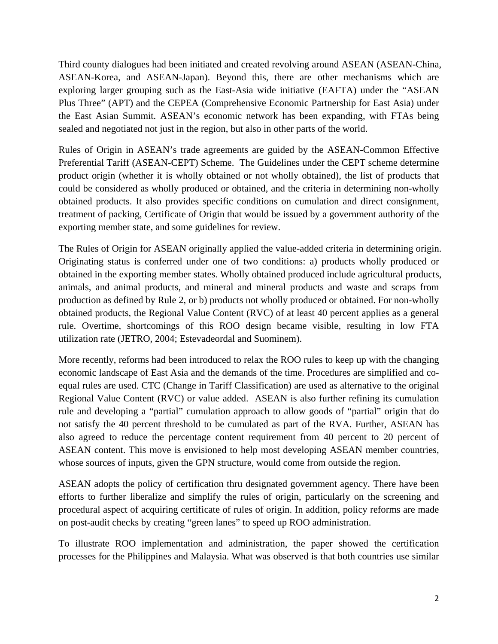Third county dialogues had been initiated and created revolving around ASEAN (ASEAN-China, ASEAN-Korea, and ASEAN-Japan). Beyond this, there are other mechanisms which are exploring larger grouping such as the East-Asia wide initiative (EAFTA) under the "ASEAN Plus Three" (APT) and the CEPEA (Comprehensive Economic Partnership for East Asia) under the East Asian Summit. ASEAN's economic network has been expanding, with FTAs being sealed and negotiated not just in the region, but also in other parts of the world.

Rules of Origin in ASEAN's trade agreements are guided by the ASEAN-Common Effective Preferential Tariff (ASEAN-CEPT) Scheme. The Guidelines under the CEPT scheme determine product origin (whether it is wholly obtained or not wholly obtained), the list of products that could be considered as wholly produced or obtained, and the criteria in determining non-wholly obtained products. It also provides specific conditions on cumulation and direct consignment, treatment of packing, Certificate of Origin that would be issued by a government authority of the exporting member state, and some guidelines for review.

The Rules of Origin for ASEAN originally applied the value-added criteria in determining origin. Originating status is conferred under one of two conditions: a) products wholly produced or obtained in the exporting member states. Wholly obtained produced include agricultural products, animals, and animal products, and mineral and mineral products and waste and scraps from production as defined by Rule 2, or b) products not wholly produced or obtained. For non-wholly obtained products, the Regional Value Content (RVC) of at least 40 percent applies as a general rule. Overtime, shortcomings of this ROO design became visible, resulting in low FTA utilization rate (JETRO, 2004; Estevadeordal and Suominem).

More recently, reforms had been introduced to relax the ROO rules to keep up with the changing economic landscape of East Asia and the demands of the time. Procedures are simplified and coequal rules are used. CTC (Change in Tariff Classification) are used as alternative to the original Regional Value Content (RVC) or value added. ASEAN is also further refining its cumulation rule and developing a "partial" cumulation approach to allow goods of "partial" origin that do not satisfy the 40 percent threshold to be cumulated as part of the RVA. Further, ASEAN has also agreed to reduce the percentage content requirement from 40 percent to 20 percent of ASEAN content. This move is envisioned to help most developing ASEAN member countries, whose sources of inputs, given the GPN structure, would come from outside the region.

ASEAN adopts the policy of certification thru designated government agency. There have been efforts to further liberalize and simplify the rules of origin, particularly on the screening and procedural aspect of acquiring certificate of rules of origin. In addition, policy reforms are made on post-audit checks by creating "green lanes" to speed up ROO administration.

To illustrate ROO implementation and administration, the paper showed the certification processes for the Philippines and Malaysia. What was observed is that both countries use similar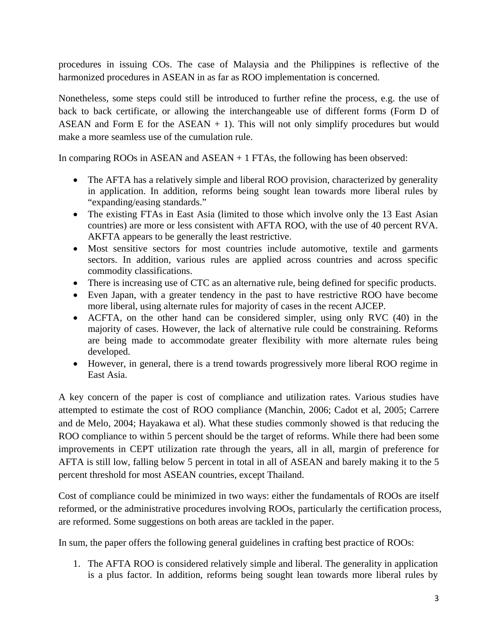procedures in issuing COs. The case of Malaysia and the Philippines is reflective of the harmonized procedures in ASEAN in as far as ROO implementation is concerned.

Nonetheless, some steps could still be introduced to further refine the process, e.g. the use of back to back certificate, or allowing the interchangeable use of different forms (Form D of ASEAN and Form E for the  $ASEAN + 1$ ). This will not only simplify procedures but would make a more seamless use of the cumulation rule.

In comparing ROOs in ASEAN and  $ASEAN + 1$  FTAs, the following has been observed:

- The AFTA has a relatively simple and liberal ROO provision, characterized by generality in application. In addition, reforms being sought lean towards more liberal rules by "expanding/easing standards."
- The existing FTAs in East Asia (limited to those which involve only the 13 East Asian countries) are more or less consistent with AFTA ROO, with the use of 40 percent RVA. AKFTA appears to be generally the least restrictive.
- Most sensitive sectors for most countries include automotive, textile and garments sectors. In addition, various rules are applied across countries and across specific commodity classifications.
- There is increasing use of CTC as an alternative rule, being defined for specific products.
- Even Japan, with a greater tendency in the past to have restrictive ROO have become more liberal, using alternate rules for majority of cases in the recent AJCEP.
- ACFTA, on the other hand can be considered simpler, using only RVC (40) in the majority of cases. However, the lack of alternative rule could be constraining. Reforms are being made to accommodate greater flexibility with more alternate rules being developed.
- However, in general, there is a trend towards progressively more liberal ROO regime in East Asia.

A key concern of the paper is cost of compliance and utilization rates. Various studies have attempted to estimate the cost of ROO compliance (Manchin, 2006; Cadot et al, 2005; Carrere and de Melo, 2004; Hayakawa et al). What these studies commonly showed is that reducing the ROO compliance to within 5 percent should be the target of reforms. While there had been some improvements in CEPT utilization rate through the years, all in all, margin of preference for AFTA is still low, falling below 5 percent in total in all of ASEAN and barely making it to the 5 percent threshold for most ASEAN countries, except Thailand.

Cost of compliance could be minimized in two ways: either the fundamentals of ROOs are itself reformed, or the administrative procedures involving ROOs, particularly the certification process, are reformed. Some suggestions on both areas are tackled in the paper.

In sum, the paper offers the following general guidelines in crafting best practice of ROOs:

1. The AFTA ROO is considered relatively simple and liberal. The generality in application is a plus factor. In addition, reforms being sought lean towards more liberal rules by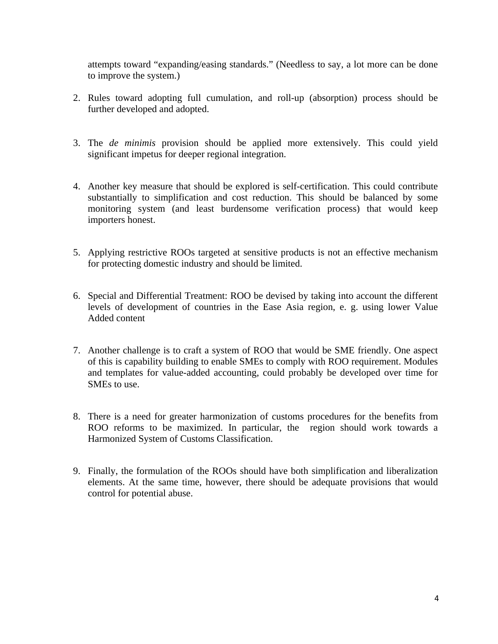attempts toward "expanding/easing standards." (Needless to say, a lot more can be done to improve the system.)

- 2. Rules toward adopting full cumulation, and roll-up (absorption) process should be further developed and adopted.
- 3. The *de minimis* provision should be applied more extensively. This could yield significant impetus for deeper regional integration.
- 4. Another key measure that should be explored is self-certification. This could contribute substantially to simplification and cost reduction. This should be balanced by some monitoring system (and least burdensome verification process) that would keep importers honest.
- 5. Applying restrictive ROOs targeted at sensitive products is not an effective mechanism for protecting domestic industry and should be limited.
- 6. Special and Differential Treatment: ROO be devised by taking into account the different levels of development of countries in the Ease Asia region, e. g. using lower Value Added content
- 7. Another challenge is to craft a system of ROO that would be SME friendly. One aspect of this is capability building to enable SMEs to comply with ROO requirement. Modules and templates for value-added accounting, could probably be developed over time for SMEs to use.
- 8. There is a need for greater harmonization of customs procedures for the benefits from ROO reforms to be maximized. In particular, the region should work towards a Harmonized System of Customs Classification.
- 9. Finally, the formulation of the ROOs should have both simplification and liberalization elements. At the same time, however, there should be adequate provisions that would control for potential abuse.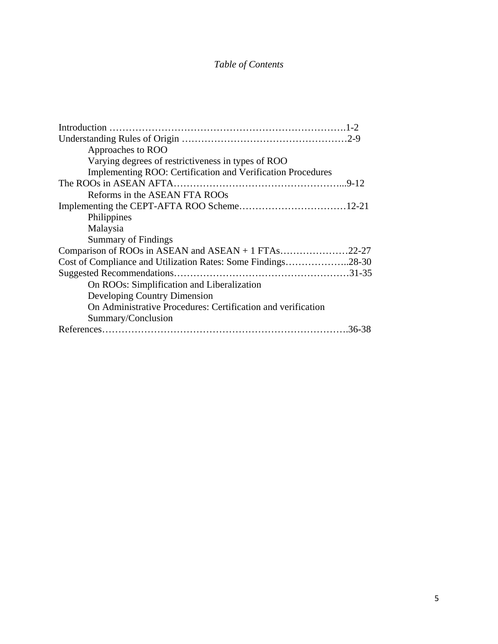# *Table of Contents*

| Approaches to ROO                                            |  |
|--------------------------------------------------------------|--|
| Varying degrees of restrictiveness in types of ROO           |  |
| Implementing ROO: Certification and Verification Procedures  |  |
|                                                              |  |
| Reforms in the ASEAN FTA ROOs                                |  |
|                                                              |  |
| Philippines                                                  |  |
| Malaysia                                                     |  |
| <b>Summary of Findings</b>                                   |  |
| Comparison of ROOs in ASEAN and ASEAN + 1 FTAs22-27          |  |
| Cost of Compliance and Utilization Rates: Some Findings28-30 |  |
|                                                              |  |
| On ROOs: Simplification and Liberalization                   |  |
| Developing Country Dimension                                 |  |
| On Administrative Procedures: Certification and verification |  |
| Summary/Conclusion                                           |  |
|                                                              |  |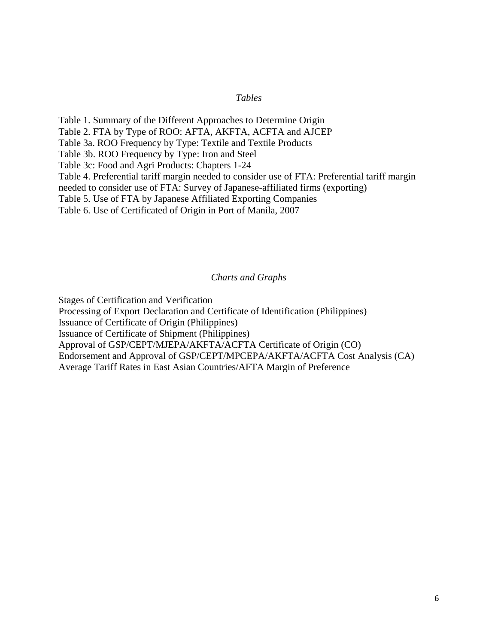#### *Tables*

Table 1. Summary of the Different Approaches to Determine Origin Table 2. FTA by Type of ROO: AFTA, AKFTA, ACFTA and AJCEP Table 3a. ROO Frequency by Type: Textile and Textile Products Table 3b. ROO Frequency by Type: Iron and Steel Table 3c: Food and Agri Products: Chapters 1-24 Table 4. Preferential tariff margin needed to consider use of FTA: Preferential tariff margin needed to consider use of FTA: Survey of Japanese-affiliated firms (exporting) Table 5. Use of FTA by Japanese Affiliated Exporting Companies Table 6. Use of Certificated of Origin in Port of Manila, 2007

#### *Charts and Graphs*

Stages of Certification and Verification Processing of Export Declaration and Certificate of Identification (Philippines) Issuance of Certificate of Origin (Philippines) Issuance of Certificate of Shipment (Philippines) Approval of GSP/CEPT/MJEPA/AKFTA/ACFTA Certificate of Origin (CO) Endorsement and Approval of GSP/CEPT/MPCEPA/AKFTA/ACFTA Cost Analysis (CA) Average Tariff Rates in East Asian Countries/AFTA Margin of Preference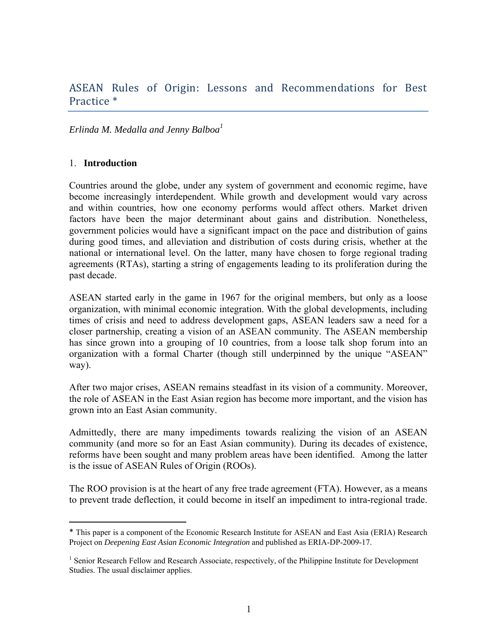# ASEAN Rules of Origin: Lessons and Recommendations for Best Practice \*

# *Erlinda M. Medalla and Jenny Balboa<sup>1</sup>*

#### 1. **Introduction**

Countries around the globe, under any system of government and economic regime, have become increasingly interdependent. While growth and development would vary across and within countries, how one economy performs would affect others. Market driven factors have been the major determinant about gains and distribution. Nonetheless, government policies would have a significant impact on the pace and distribution of gains during good times, and alleviation and distribution of costs during crisis, whether at the national or international level. On the latter, many have chosen to forge regional trading agreements (RTAs), starting a string of engagements leading to its proliferation during the past decade.

ASEAN started early in the game in 1967 for the original members, but only as a loose organization, with minimal economic integration. With the global developments, including times of crisis and need to address development gaps, ASEAN leaders saw a need for a closer partnership, creating a vision of an ASEAN community. The ASEAN membership has since grown into a grouping of 10 countries, from a loose talk shop forum into an organization with a formal Charter (though still underpinned by the unique "ASEAN" way).

After two major crises, ASEAN remains steadfast in its vision of a community. Moreover, the role of ASEAN in the East Asian region has become more important, and the vision has grown into an East Asian community.

Admittedly, there are many impediments towards realizing the vision of an ASEAN community (and more so for an East Asian community). During its decades of existence, reforms have been sought and many problem areas have been identified. Among the latter is the issue of ASEAN Rules of Origin (ROOs).

The ROO provision is at the heart of any free trade agreement (FTA). However, as a means to prevent trade deflection, it could become in itself an impediment to intra-regional trade.

<sup>\*</sup> This paper is a component of the Economic Research Institute for ASEAN and East Asia (ERIA) Research Project on *Deepening East Asian Economic Integration* and published as ERIA-DP-2009-17.

<sup>&</sup>lt;sup>1</sup> Senior Research Fellow and Research Associate, respectively, of the Philippine Institute for Development Studies. The usual disclaimer applies.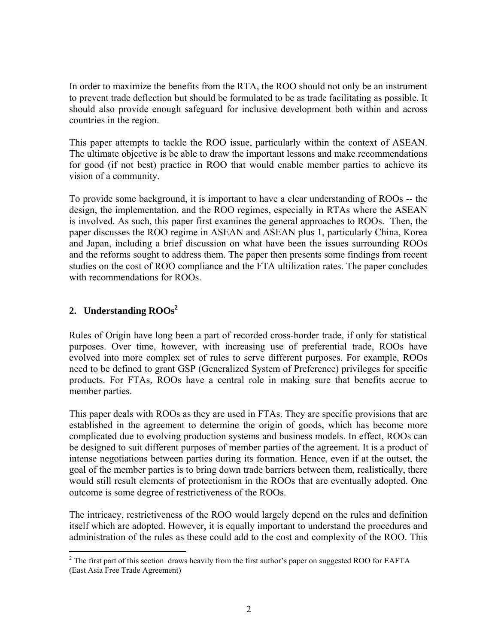In order to maximize the benefits from the RTA, the ROO should not only be an instrument to prevent trade deflection but should be formulated to be as trade facilitating as possible. It should also provide enough safeguard for inclusive development both within and across countries in the region.

This paper attempts to tackle the ROO issue, particularly within the context of ASEAN. The ultimate objective is be able to draw the important lessons and make recommendations for good (if not best) practice in ROO that would enable member parties to achieve its vision of a community.

To provide some background, it is important to have a clear understanding of ROOs -- the design, the implementation, and the ROO regimes, especially in RTAs where the ASEAN is involved. As such, this paper first examines the general approaches to ROOs. Then, the paper discusses the ROO regime in ASEAN and ASEAN plus 1, particularly China, Korea and Japan, including a brief discussion on what have been the issues surrounding ROOs and the reforms sought to address them. The paper then presents some findings from recent studies on the cost of ROO compliance and the FTA ultilization rates. The paper concludes with recommendations for ROOs.

# **2. Understanding ROOs2**

Rules of Origin have long been a part of recorded cross-border trade, if only for statistical purposes. Over time, however, with increasing use of preferential trade, ROOs have evolved into more complex set of rules to serve different purposes. For example, ROOs need to be defined to grant GSP (Generalized System of Preference) privileges for specific products. For FTAs, ROOs have a central role in making sure that benefits accrue to member parties.

This paper deals with ROOs as they are used in FTAs. They are specific provisions that are established in the agreement to determine the origin of goods, which has become more complicated due to evolving production systems and business models. In effect, ROOs can be designed to suit different purposes of member parties of the agreement. It is a product of intense negotiations between parties during its formation. Hence, even if at the outset, the goal of the member parties is to bring down trade barriers between them, realistically, there would still result elements of protectionism in the ROOs that are eventually adopted. One outcome is some degree of restrictiveness of the ROOs.

The intricacy, restrictiveness of the ROO would largely depend on the rules and definition itself which are adopted. However, it is equally important to understand the procedures and administration of the rules as these could add to the cost and complexity of the ROO. This

  $2^2$  The first part of this section draws heavily from the first author's paper on suggested ROO for EAFTA (East Asia Free Trade Agreement)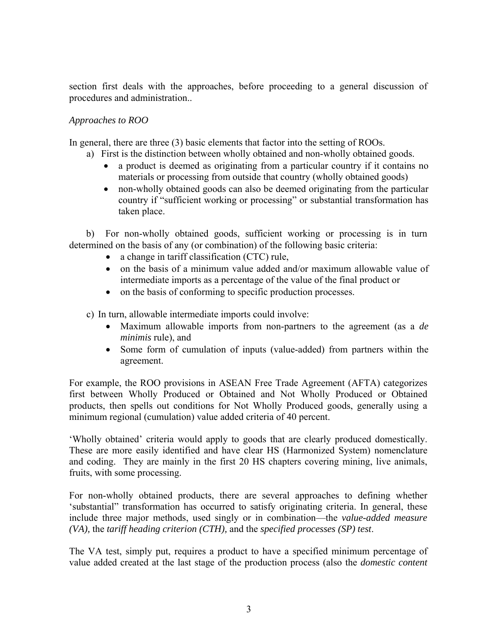section first deals with the approaches, before proceeding to a general discussion of procedures and administration..

# *Approaches to ROO*

In general, there are three (3) basic elements that factor into the setting of ROOs.

- a) First is the distinction between wholly obtained and non-wholly obtained goods.
	- a product is deemed as originating from a particular country if it contains no materials or processing from outside that country (wholly obtained goods)
	- non-wholly obtained goods can also be deemed originating from the particular country if "sufficient working or processing" or substantial transformation has taken place.

 b) For non-wholly obtained goods, sufficient working or processing is in turn determined on the basis of any (or combination) of the following basic criteria:

- a change in tariff classification (CTC) rule,
- on the basis of a minimum value added and/or maximum allowable value of intermediate imports as a percentage of the value of the final product or
- on the basis of conforming to specific production processes.

c) In turn, allowable intermediate imports could involve:

- Maximum allowable imports from non-partners to the agreement (as a *de minimis* rule), and
- Some form of cumulation of inputs (value-added) from partners within the agreement.

For example, the ROO provisions in ASEAN Free Trade Agreement (AFTA) categorizes first between Wholly Produced or Obtained and Not Wholly Produced or Obtained products, then spells out conditions for Not Wholly Produced goods, generally using a minimum regional (cumulation) value added criteria of 40 percent.

'Wholly obtained' criteria would apply to goods that are clearly produced domestically. These are more easily identified and have clear HS (Harmonized System) nomenclature and coding. They are mainly in the first 20 HS chapters covering mining, live animals, fruits, with some processing.

For non-wholly obtained products, there are several approaches to defining whether 'substantial" transformation has occurred to satisfy originating criteria. In general, these include three major methods, used singly or in combination—the *value-added measure (VA),* the *tariff heading criterion (CTH),* and the *specified processes (SP) test*.

The VA test, simply put, requires a product to have a specified minimum percentage of value added created at the last stage of the production process (also the *domestic content*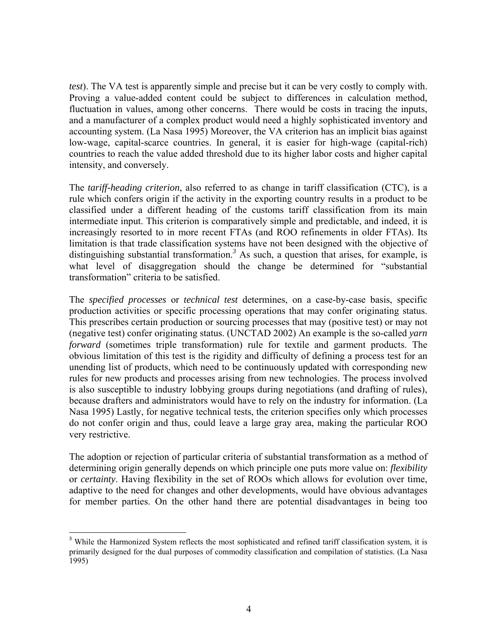*test*). The VA test is apparently simple and precise but it can be very costly to comply with. Proving a value-added content could be subject to differences in calculation method, fluctuation in values, among other concerns. There would be costs in tracing the inputs, and a manufacturer of a complex product would need a highly sophisticated inventory and accounting system. (La Nasa 1995) Moreover, the VA criterion has an implicit bias against low-wage, capital-scarce countries. In general, it is easier for high-wage (capital-rich) countries to reach the value added threshold due to its higher labor costs and higher capital intensity, and conversely.

The *tariff-heading criterion*, also referred to as change in tariff classification (CTC), is a rule which confers origin if the activity in the exporting country results in a product to be classified under a different heading of the customs tariff classification from its main intermediate input. This criterion is comparatively simple and predictable, and indeed, it is increasingly resorted to in more recent FTAs (and ROO refinements in older FTAs). Its limitation is that trade classification systems have not been designed with the objective of distinguishing substantial transformation.<sup>3</sup> As such, a question that arises, for example, is what level of disaggregation should the change be determined for "substantial" transformation" criteria to be satisfied.

The *specified processes* or *technical test* determines, on a case-by-case basis, specific production activities or specific processing operations that may confer originating status. This prescribes certain production or sourcing processes that may (positive test) or may not (negative test) confer originating status. (UNCTAD 2002) An example is the so-called *yarn forward* (sometimes triple transformation) rule for textile and garment products. The obvious limitation of this test is the rigidity and difficulty of defining a process test for an unending list of products, which need to be continuously updated with corresponding new rules for new products and processes arising from new technologies. The process involved is also susceptible to industry lobbying groups during negotiations (and drafting of rules), because drafters and administrators would have to rely on the industry for information. (La Nasa 1995) Lastly, for negative technical tests, the criterion specifies only which processes do not confer origin and thus, could leave a large gray area, making the particular ROO very restrictive.

The adoption or rejection of particular criteria of substantial transformation as a method of determining origin generally depends on which principle one puts more value on: *flexibility*  or *certainty*. Having flexibility in the set of ROOs which allows for evolution over time, adaptive to the need for changes and other developments, would have obvious advantages for member parties. On the other hand there are potential disadvantages in being too

<sup>&</sup>lt;sup>3</sup> While the Harmonized System reflects the most sophisticated and refined tariff classification system, it is primarily designed for the dual purposes of commodity classification and compilation of statistics. (La Nasa 1995)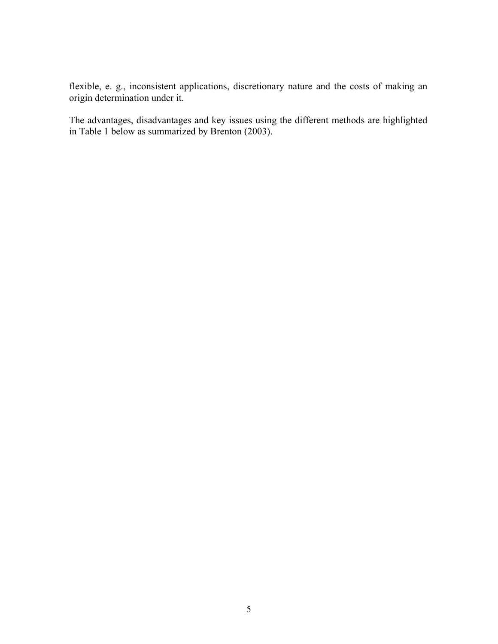flexible, e. g., inconsistent applications, discretionary nature and the costs of making an origin determination under it.

The advantages, disadvantages and key issues using the different methods are highlighted in Table 1 below as summarized by Brenton (2003).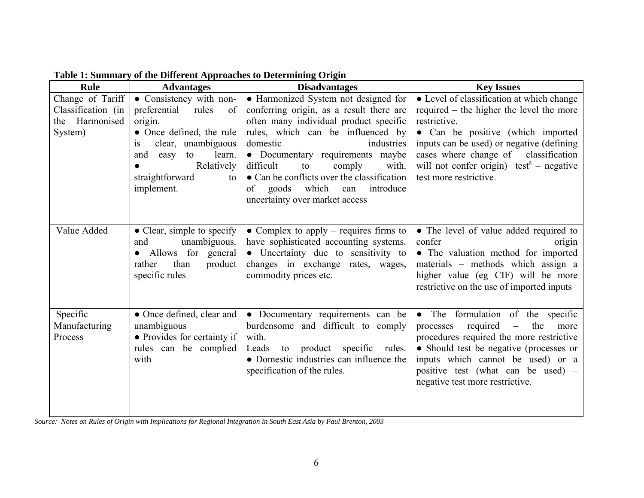| Rule                                                                | radio 1. Summary of the Directent Approaches to Determining Origin<br><b>Advantages</b>                                                                                                                 | <b>Disadvantages</b>                                                                                                                                                                                                                                                                                                                                                                         | <b>Key Issues</b>                                                                                                                                                                                                                                                                                                              |
|---------------------------------------------------------------------|---------------------------------------------------------------------------------------------------------------------------------------------------------------------------------------------------------|----------------------------------------------------------------------------------------------------------------------------------------------------------------------------------------------------------------------------------------------------------------------------------------------------------------------------------------------------------------------------------------------|--------------------------------------------------------------------------------------------------------------------------------------------------------------------------------------------------------------------------------------------------------------------------------------------------------------------------------|
| Change of Tariff<br>Classification (in<br>the Harmonised<br>System) | • Consistency with non-<br>preferential<br>rules<br>of<br>origin.<br>• Once defined, the rule<br>clear, unambiguous<br>1S<br>learn.<br>and easy to<br>Relatively<br>straightforward<br>to<br>implement. | • Harmonized System not designed for<br>conferring origin, as a result there are<br>often many individual product specific<br>rules, which can be influenced by<br>domestic<br>industries<br>• Documentary requirements maybe<br>difficult<br>comply<br>to<br>with.<br>• Can be conflicts over the classification<br>which<br>of goods<br>introduce<br>can<br>uncertainty over market access | • Level of classification at which change<br>required – the higher the level the more<br>restrictive.<br>• Can be positive (which imported<br>inputs can be used) or negative (defining<br>cases where change of classification<br>will not confer origin) test <sup><math>a</math></sup> – negative<br>test more restrictive. |
| Value Added                                                         | $\bullet$ Clear, simple to specify<br>unambiguous.<br>and<br>• Allows for general<br>than<br>product<br>rather<br>specific rules                                                                        | • Complex to apply – requires firms to<br>have sophisticated accounting systems.<br>• Uncertainty due to sensitivity to<br>changes in exchange rates, wages,<br>commodity prices etc.                                                                                                                                                                                                        | • The level of value added required to<br>confer<br>origin<br>• The valuation method for imported<br>materials – methods which assign a<br>higher value (eg CIF) will be more<br>restrictive on the use of imported inputs                                                                                                     |
| Specific<br>Manufacturing<br>Process                                | • Once defined, clear and<br>unambiguous<br>• Provides for certainty if<br>rules can be complied<br>with                                                                                                | • Documentary requirements can be<br>burdensome and difficult to comply<br>with.<br>to product specific rules.<br>Leads<br>• Domestic industries can influence the<br>specification of the rules.                                                                                                                                                                                            | • The formulation of the specific<br>required<br>processes<br>the<br>$\equiv$<br>more<br>procedures required the more restrictive<br>• Should test be negative (processes or<br>inputs which cannot be used) or a<br>positive test (what can be used) –<br>negative test more restrictive.                                     |

**Table 1: Summary of the Different Approaches to Determining Origin** 

*Source: Notes on Rules of Origin with Implications for Regional Integration in South East Asia by Paul Brenton, 2003*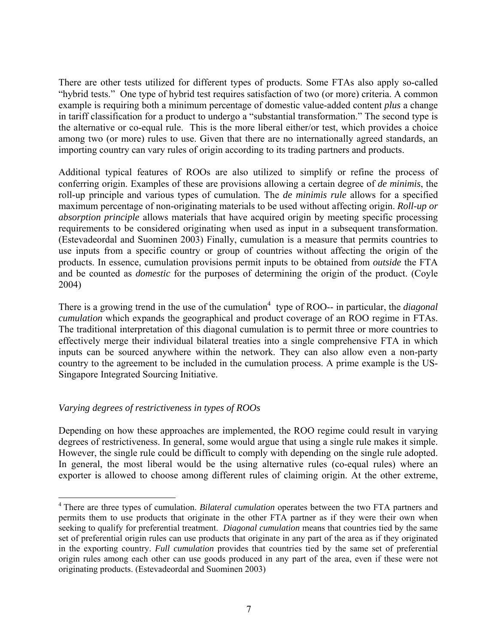There are other tests utilized for different types of products. Some FTAs also apply so-called "hybrid tests." One type of hybrid test requires satisfaction of two (or more) criteria. A common example is requiring both a minimum percentage of domestic value-added content *plus* a change in tariff classification for a product to undergo a "substantial transformation." The second type is the alternative or co-equal rule. This is the more liberal either/or test, which provides a choice among two (or more) rules to use. Given that there are no internationally agreed standards, an importing country can vary rules of origin according to its trading partners and products.

Additional typical features of ROOs are also utilized to simplify or refine the process of conferring origin. Examples of these are provisions allowing a certain degree of *de minimis*, the roll-up principle and various types of cumulation. The *de minimis rule* allows for a specified maximum percentage of non-originating materials to be used without affecting origin. *Roll-up or absorption principle* allows materials that have acquired origin by meeting specific processing requirements to be considered originating when used as input in a subsequent transformation. (Estevadeordal and Suominen 2003) Finally, cumulation is a measure that permits countries to use inputs from a specific country or group of countries without affecting the origin of the products. In essence, cumulation provisions permit inputs to be obtained from *outside* the FTA and be counted as *domestic* for the purposes of determining the origin of the product. (Coyle 2004)

There is a growing trend in the use of the cumulation<sup>4</sup> type of ROO-- in particular, the *diagonal cumulation* which expands the geographical and product coverage of an ROO regime in FTAs. The traditional interpretation of this diagonal cumulation is to permit three or more countries to effectively merge their individual bilateral treaties into a single comprehensive FTA in which inputs can be sourced anywhere within the network. They can also allow even a non-party country to the agreement to be included in the cumulation process. A prime example is the US-Singapore Integrated Sourcing Initiative.

# *Varying degrees of restrictiveness in types of ROOs*

Depending on how these approaches are implemented, the ROO regime could result in varying degrees of restrictiveness. In general, some would argue that using a single rule makes it simple. However, the single rule could be difficult to comply with depending on the single rule adopted. In general, the most liberal would be the using alternative rules (co-equal rules) where an exporter is allowed to choose among different rules of claiming origin. At the other extreme,

<sup>4</sup> There are three types of cumulation. *Bilateral cumulation* operates between the two FTA partners and permits them to use products that originate in the other FTA partner as if they were their own when seeking to qualify for preferential treatment. *Diagonal cumulation* means that countries tied by the same set of preferential origin rules can use products that originate in any part of the area as if they originated in the exporting country. *Full cumulation* provides that countries tied by the same set of preferential origin rules among each other can use goods produced in any part of the area, even if these were not originating products. (Estevadeordal and Suominen 2003)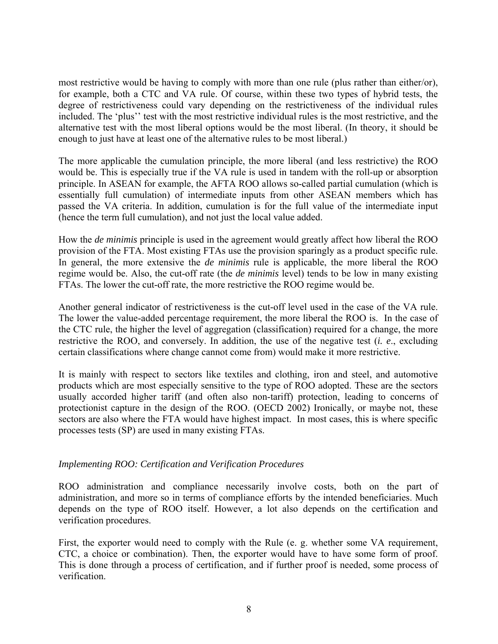most restrictive would be having to comply with more than one rule (plus rather than either/or), for example, both a CTC and VA rule. Of course, within these two types of hybrid tests, the degree of restrictiveness could vary depending on the restrictiveness of the individual rules included. The 'plus'' test with the most restrictive individual rules is the most restrictive, and the alternative test with the most liberal options would be the most liberal. (In theory, it should be enough to just have at least one of the alternative rules to be most liberal.)

The more applicable the cumulation principle, the more liberal (and less restrictive) the ROO would be. This is especially true if the VA rule is used in tandem with the roll-up or absorption principle. In ASEAN for example, the AFTA ROO allows so-called partial cumulation (which is essentially full cumulation) of intermediate inputs from other ASEAN members which has passed the VA criteria. In addition, cumulation is for the full value of the intermediate input (hence the term full cumulation), and not just the local value added.

How the *de minimis* principle is used in the agreement would greatly affect how liberal the ROO provision of the FTA. Most existing FTAs use the provision sparingly as a product specific rule. In general, the more extensive the *de minimis* rule is applicable, the more liberal the ROO regime would be. Also, the cut-off rate (the *de minimis* level) tends to be low in many existing FTAs. The lower the cut-off rate, the more restrictive the ROO regime would be.

Another general indicator of restrictiveness is the cut-off level used in the case of the VA rule. The lower the value-added percentage requirement, the more liberal the ROO is. In the case of the CTC rule, the higher the level of aggregation (classification) required for a change, the more restrictive the ROO, and conversely. In addition, the use of the negative test (*i. e*., excluding certain classifications where change cannot come from) would make it more restrictive.

It is mainly with respect to sectors like textiles and clothing, iron and steel, and automotive products which are most especially sensitive to the type of ROO adopted. These are the sectors usually accorded higher tariff (and often also non-tariff) protection, leading to concerns of protectionist capture in the design of the ROO. (OECD 2002) Ironically, or maybe not, these sectors are also where the FTA would have highest impact. In most cases, this is where specific processes tests (SP) are used in many existing FTAs.

#### *Implementing ROO: Certification and Verification Procedures*

ROO administration and compliance necessarily involve costs, both on the part of administration, and more so in terms of compliance efforts by the intended beneficiaries. Much depends on the type of ROO itself. However, a lot also depends on the certification and verification procedures.

First, the exporter would need to comply with the Rule (e. g. whether some VA requirement, CTC, a choice or combination). Then, the exporter would have to have some form of proof. This is done through a process of certification, and if further proof is needed, some process of verification.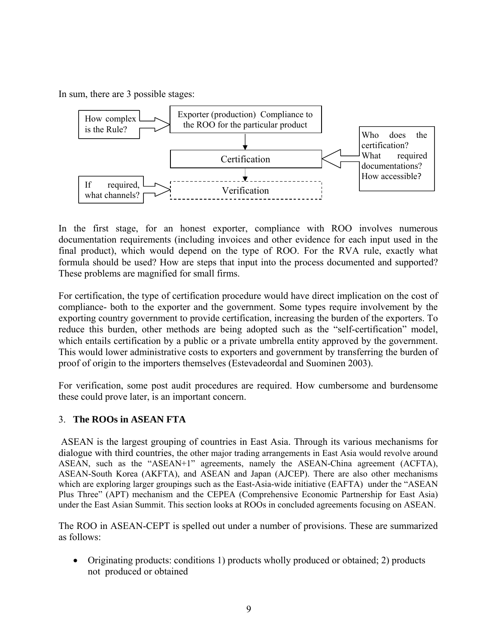In sum, there are 3 possible stages:



In the first stage, for an honest exporter, compliance with ROO involves numerous documentation requirements (including invoices and other evidence for each input used in the final product), which would depend on the type of ROO. For the RVA rule, exactly what formula should be used? How are steps that input into the process documented and supported? These problems are magnified for small firms.

For certification, the type of certification procedure would have direct implication on the cost of compliance- both to the exporter and the government. Some types require involvement by the exporting country government to provide certification, increasing the burden of the exporters. To reduce this burden, other methods are being adopted such as the "self-certification" model, which entails certification by a public or a private umbrella entity approved by the government. This would lower administrative costs to exporters and government by transferring the burden of proof of origin to the importers themselves (Estevadeordal and Suominen 2003).

For verification, some post audit procedures are required. How cumbersome and burdensome these could prove later, is an important concern.

# 3. **The ROOs in ASEAN FTA**

ASEAN is the largest grouping of countries in East Asia. Through its various mechanisms for dialogue with third countries, the other major trading arrangements in East Asia would revolve around ASEAN, such as the "ASEAN+1" agreements, namely the ASEAN-China agreement (ACFTA), ASEAN-South Korea (AKFTA), and ASEAN and Japan (AJCEP). There are also other mechanisms which are exploring larger groupings such as the East-Asia-wide initiative (EAFTA) under the "ASEAN Plus Three" (APT) mechanism and the CEPEA (Comprehensive Economic Partnership for East Asia) under the East Asian Summit. This section looks at ROOs in concluded agreements focusing on ASEAN.

The ROO in ASEAN-CEPT is spelled out under a number of provisions. These are summarized as follows:

• Originating products: conditions 1) products wholly produced or obtained; 2) products not produced or obtained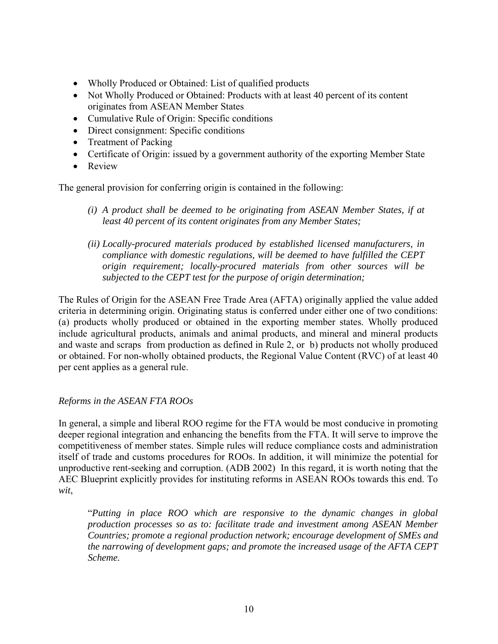- Wholly Produced or Obtained: List of qualified products
- Not Wholly Produced or Obtained: Products with at least 40 percent of its content originates from ASEAN Member States
- Cumulative Rule of Origin: Specific conditions
- Direct consignment: Specific conditions
- Treatment of Packing
- Certificate of Origin: issued by a government authority of the exporting Member State
- Review

The general provision for conferring origin is contained in the following:

- *(i) A product shall be deemed to be originating from ASEAN Member States, if at least 40 percent of its content originates from any Member States;*
- *(ii) Locally-procured materials produced by established licensed manufacturers, in compliance with domestic regulations, will be deemed to have fulfilled the CEPT origin requirement; locally-procured materials from other sources will be subjected to the CEPT test for the purpose of origin determination;*

The Rules of Origin for the ASEAN Free Trade Area (AFTA) originally applied the value added criteria in determining origin. Originating status is conferred under either one of two conditions: (a) products wholly produced or obtained in the exporting member states. Wholly produced include agricultural products, animals and animal products, and mineral and mineral products and waste and scraps from production as defined in Rule 2, or b) products not wholly produced or obtained. For non-wholly obtained products, the Regional Value Content (RVC) of at least 40 per cent applies as a general rule.

# *Reforms in the ASEAN FTA ROOs*

In general, a simple and liberal ROO regime for the FTA would be most conducive in promoting deeper regional integration and enhancing the benefits from the FTA. It will serve to improve the competitiveness of member states. Simple rules will reduce compliance costs and administration itself of trade and customs procedures for ROOs. In addition, it will minimize the potential for unproductive rent-seeking and corruption. (ADB 2002) In this regard, it is worth noting that the AEC Blueprint explicitly provides for instituting reforms in ASEAN ROOs towards this end. To *wit*,

"*Putting in place ROO which are responsive to the dynamic changes in global production processes so as to: facilitate trade and investment among ASEAN Member Countries; promote a regional production network; encourage development of SMEs and the narrowing of development gaps; and promote the increased usage of the AFTA CEPT Scheme.*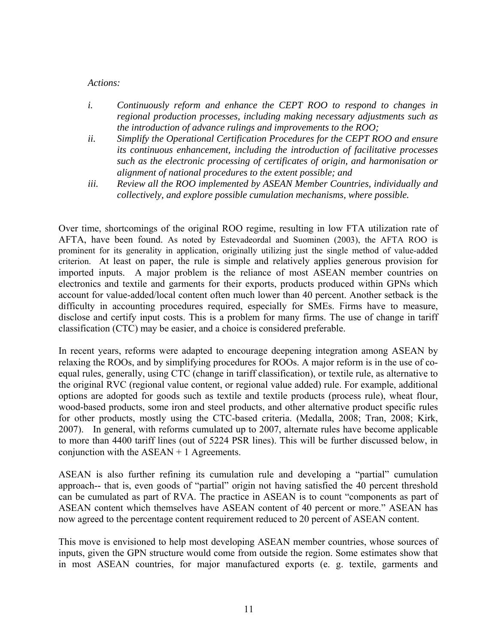#### *Actions:*

- *i. Continuously reform and enhance the CEPT ROO to respond to changes in regional production processes, including making necessary adjustments such as the introduction of advance rulings and improvements to the ROO;*
- *ii. Simplify the Operational Certification Procedures for the CEPT ROO and ensure its continuous enhancement, including the introduction of facilitative processes such as the electronic processing of certificates of origin, and harmonisation or alignment of national procedures to the extent possible; and*
- *iii. Review all the ROO implemented by ASEAN Member Countries, individually and collectively, and explore possible cumulation mechanisms, where possible.*

Over time, shortcomings of the original ROO regime, resulting in low FTA utilization rate of AFTA, have been found. As noted by Estevadeordal and Suominen (2003), the AFTA ROO is prominent for its generality in application, originally utilizing just the single method of value-added criterion. At least on paper, the rule is simple and relatively applies generous provision for imported inputs. A major problem is the reliance of most ASEAN member countries on electronics and textile and garments for their exports, products produced within GPNs which account for value-added/local content often much lower than 40 percent. Another setback is the difficulty in accounting procedures required, especially for SMEs. Firms have to measure, disclose and certify input costs. This is a problem for many firms. The use of change in tariff classification (CTC) may be easier, and a choice is considered preferable.

In recent years, reforms were adapted to encourage deepening integration among ASEAN by relaxing the ROOs, and by simplifying procedures for ROOs. A major reform is in the use of coequal rules, generally, using CTC (change in tariff classification), or textile rule, as alternative to the original RVC (regional value content, or regional value added) rule. For example, additional options are adopted for goods such as textile and textile products (process rule), wheat flour, wood-based products, some iron and steel products, and other alternative product specific rules for other products, mostly using the CTC-based criteria. (Medalla, 2008; Tran, 2008; Kirk, 2007). In general, with reforms cumulated up to 2007, alternate rules have become applicable to more than 4400 tariff lines (out of 5224 PSR lines). This will be further discussed below, in conjunction with the ASEAN + 1 Agreements.

ASEAN is also further refining its cumulation rule and developing a "partial" cumulation approach-- that is, even goods of "partial" origin not having satisfied the 40 percent threshold can be cumulated as part of RVA. The practice in ASEAN is to count "components as part of ASEAN content which themselves have ASEAN content of 40 percent or more." ASEAN has now agreed to the percentage content requirement reduced to 20 percent of ASEAN content.

This move is envisioned to help most developing ASEAN member countries, whose sources of inputs, given the GPN structure would come from outside the region. Some estimates show that in most ASEAN countries, for major manufactured exports (e. g. textile, garments and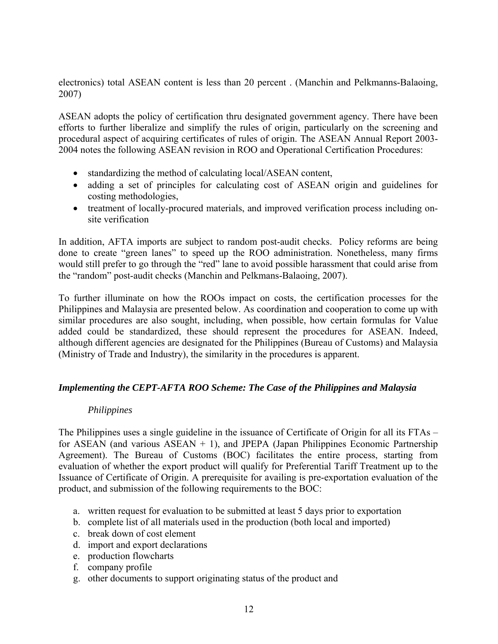electronics) total ASEAN content is less than 20 percent . (Manchin and Pelkmanns-Balaoing, 2007)

ASEAN adopts the policy of certification thru designated government agency. There have been efforts to further liberalize and simplify the rules of origin, particularly on the screening and procedural aspect of acquiring certificates of rules of origin. The ASEAN Annual Report 2003- 2004 notes the following ASEAN revision in ROO and Operational Certification Procedures:

- standardizing the method of calculating local/ASEAN content,
- adding a set of principles for calculating cost of ASEAN origin and guidelines for costing methodologies,
- treatment of locally-procured materials, and improved verification process including onsite verification

In addition, AFTA imports are subject to random post-audit checks. Policy reforms are being done to create "green lanes" to speed up the ROO administration. Nonetheless, many firms would still prefer to go through the "red" lane to avoid possible harassment that could arise from the "random" post-audit checks (Manchin and Pelkmans-Balaoing, 2007).

To further illuminate on how the ROOs impact on costs, the certification processes for the Philippines and Malaysia are presented below. As coordination and cooperation to come up with similar procedures are also sought, including, when possible, how certain formulas for Value added could be standardized, these should represent the procedures for ASEAN. Indeed, although different agencies are designated for the Philippines (Bureau of Customs) and Malaysia (Ministry of Trade and Industry), the similarity in the procedures is apparent.

# *Implementing the CEPT-AFTA ROO Scheme: The Case of the Philippines and Malaysia*

#### *Philippines*

The Philippines uses a single guideline in the issuance of Certificate of Origin for all its FTAs – for ASEAN (and various  $ASEAN + 1$ ), and JPEPA (Japan Philippines Economic Partnership Agreement). The Bureau of Customs (BOC) facilitates the entire process, starting from evaluation of whether the export product will qualify for Preferential Tariff Treatment up to the Issuance of Certificate of Origin. A prerequisite for availing is pre-exportation evaluation of the product, and submission of the following requirements to the BOC:

- a. written request for evaluation to be submitted at least 5 days prior to exportation
- b. complete list of all materials used in the production (both local and imported)
- c. break down of cost element
- d. import and export declarations
- e. production flowcharts
- f. company profile
- g. other documents to support originating status of the product and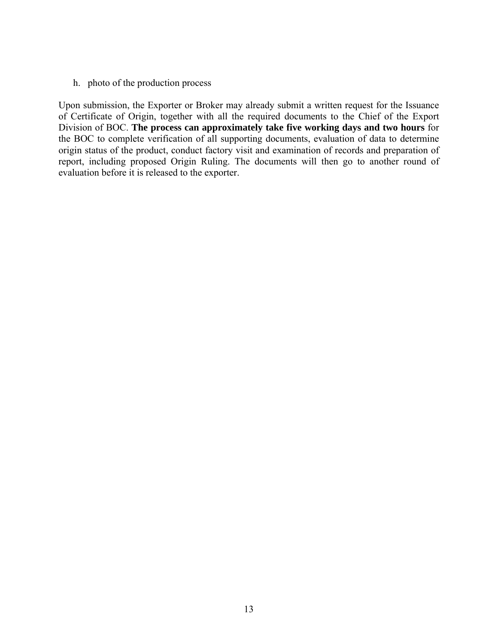h. photo of the production process

Upon submission, the Exporter or Broker may already submit a written request for the Issuance of Certificate of Origin, together with all the required documents to the Chief of the Export Division of BOC. **The process can approximately take five working days and two hours** for the BOC to complete verification of all supporting documents, evaluation of data to determine origin status of the product, conduct factory visit and examination of records and preparation of report, including proposed Origin Ruling. The documents will then go to another round of evaluation before it is released to the exporter.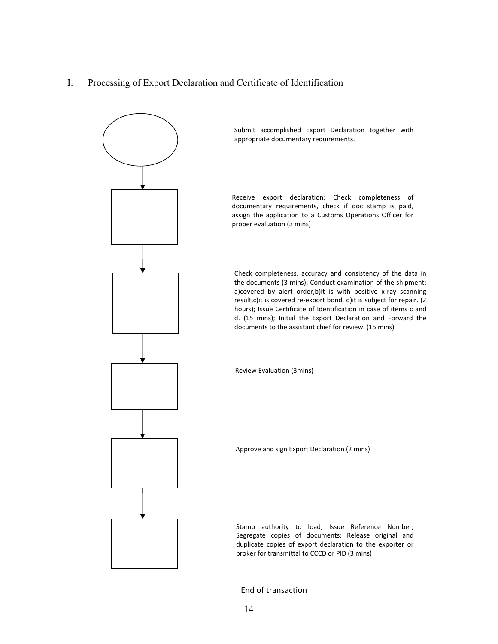I. Processing of Export Declaration and Certificate of Identification



End of transaction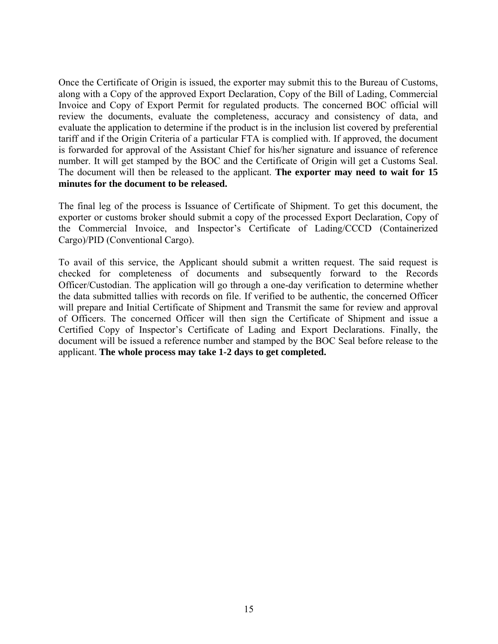Once the Certificate of Origin is issued, the exporter may submit this to the Bureau of Customs, along with a Copy of the approved Export Declaration, Copy of the Bill of Lading, Commercial Invoice and Copy of Export Permit for regulated products. The concerned BOC official will review the documents, evaluate the completeness, accuracy and consistency of data, and evaluate the application to determine if the product is in the inclusion list covered by preferential tariff and if the Origin Criteria of a particular FTA is complied with. If approved, the document is forwarded for approval of the Assistant Chief for his/her signature and issuance of reference number. It will get stamped by the BOC and the Certificate of Origin will get a Customs Seal. The document will then be released to the applicant. **The exporter may need to wait for 15 minutes for the document to be released.**

The final leg of the process is Issuance of Certificate of Shipment. To get this document, the exporter or customs broker should submit a copy of the processed Export Declaration, Copy of the Commercial Invoice, and Inspector's Certificate of Lading/CCCD (Containerized Cargo)/PID (Conventional Cargo).

To avail of this service, the Applicant should submit a written request. The said request is checked for completeness of documents and subsequently forward to the Records Officer/Custodian. The application will go through a one-day verification to determine whether the data submitted tallies with records on file. If verified to be authentic, the concerned Officer will prepare and Initial Certificate of Shipment and Transmit the same for review and approval of Officers. The concerned Officer will then sign the Certificate of Shipment and issue a Certified Copy of Inspector's Certificate of Lading and Export Declarations. Finally, the document will be issued a reference number and stamped by the BOC Seal before release to the applicant. **The whole process may take 1-2 days to get completed.**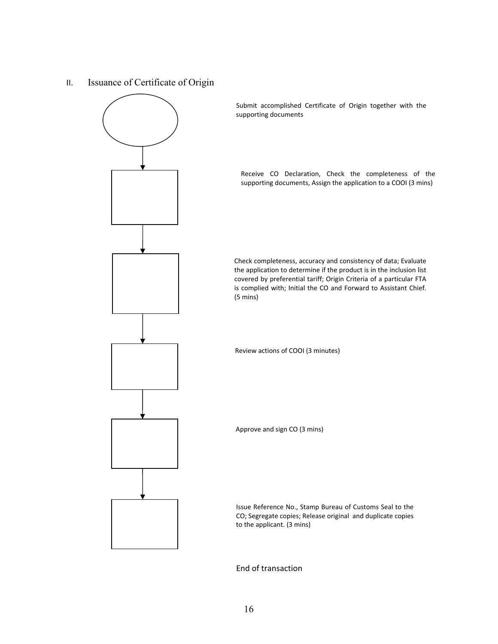II. Issuance of Certificate of Origin



Submit accomplished Certificate of Origin together with the supporting documents

Receive CO Declaration, Check the completeness of the supporting documents, Assign the application to a COOI (3 mins)

Check completeness, accuracy and consistency of data; Evaluate the application to determine if the product is in the inclusion list covered by preferential tariff; Origin Criteria of a particular FTA is complied with; Initial the CO and Forward to Assistant Chief. (5 mins)

Review actions of COOI (3 minutes)

Approve and sign CO (3 mins)

Issue Reference No., Stamp Bureau of Customs Seal to the CO; Segregate copies; Release original and duplicate copies to the applicant. (3 mins)

End of transaction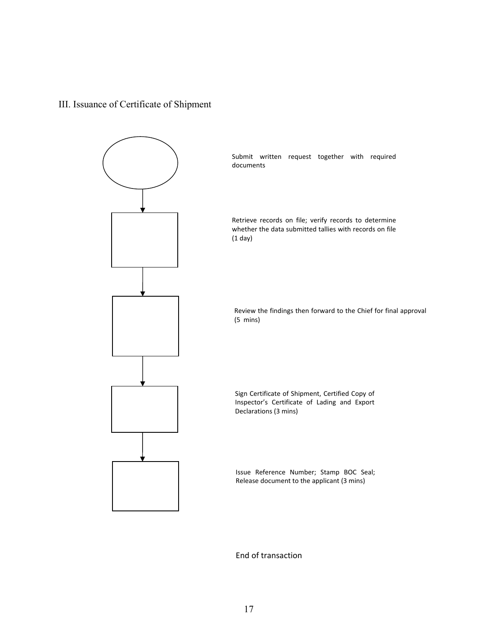# III. Issuance of Certificate of Shipment



End of transaction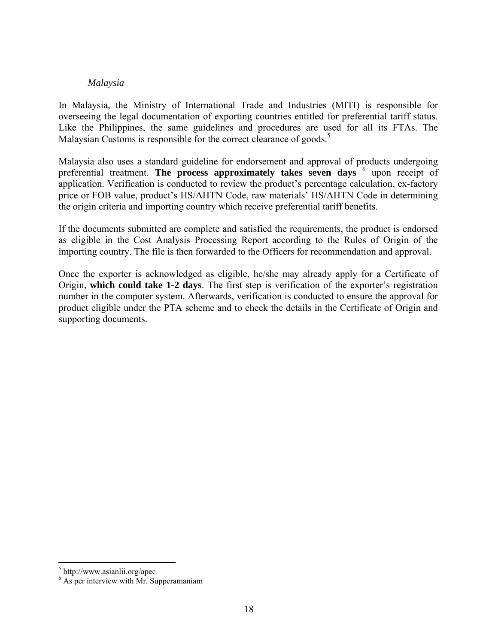#### *Malaysia*

In Malaysia, the Ministry of International Trade and Industries (MITI) is responsible for overseeing the legal documentation of exporting countries entitled for preferential tariff status. Like the Philippines, the same guidelines and procedures are used for all its FTAs. The Malaysian Customs is responsible for the correct clearance of goods.<sup>5</sup>

Malaysia also uses a standard guideline for endorsement and approval of products undergoing preferential treatment. The process approximately takes seven days <sup>6</sup> upon receipt of application. Verification is conducted to review the product's percentage calculation, ex-factory price or FOB value, product's HS/AHTN Code, raw materials' HS/AHTN Code in determining the origin criteria and importing country which receive preferential tariff benefits.

If the documents submitted are complete and satisfied the requirements, the product is endorsed as eligible in the Cost Analysis Processing Report according to the Rules of Origin of the importing country. The file is then forwarded to the Officers for recommendation and approval.

Once the exporter is acknowledged as eligible, he/she may already apply for a Certificate of Origin, **which could take 1-2 days**. The first step is verification of the exporter's registration number in the computer system. Afterwards, verification is conducted to ensure the approval for product eligible under the PTA scheme and to check the details in the Certificate of Origin and supporting documents.

<sup>5</sup> http://www.asianlii.org/apec

<sup>&</sup>lt;sup>6</sup> As per interview with Mr. Supperamaniam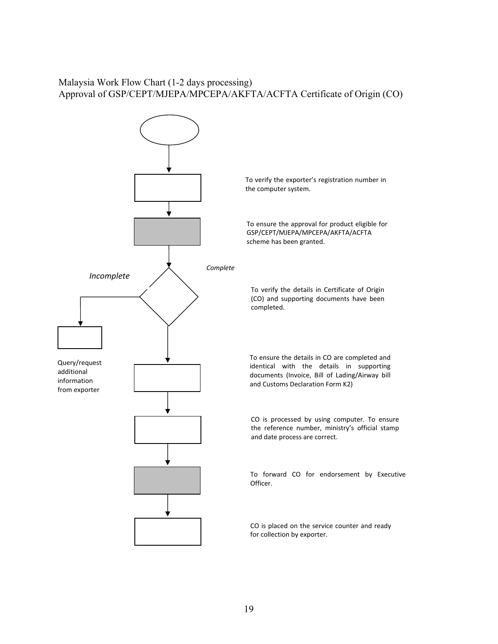# Malaysia Work Flow Chart (1-2 days processing) Approval of GSP/CEPT/MJEPA/MPCEPA/AKFTA/ACFTA Certificate of Origin (CO)

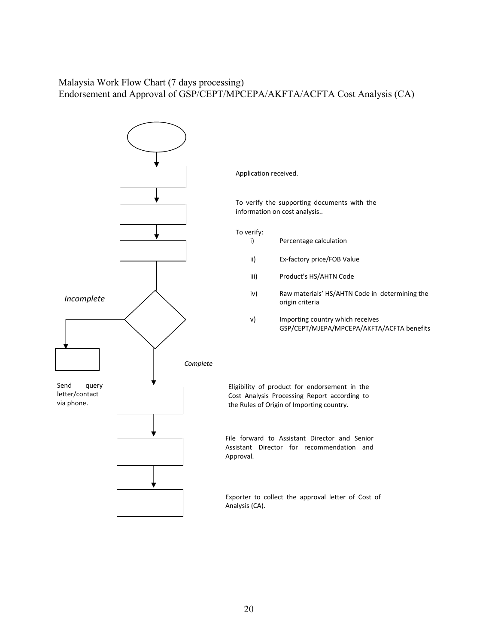# Malaysia Work Flow Chart (7 days processing) Endorsement and Approval of GSP/CEPT/MPCEPA/AKFTA/ACFTA Cost Analysis (CA)

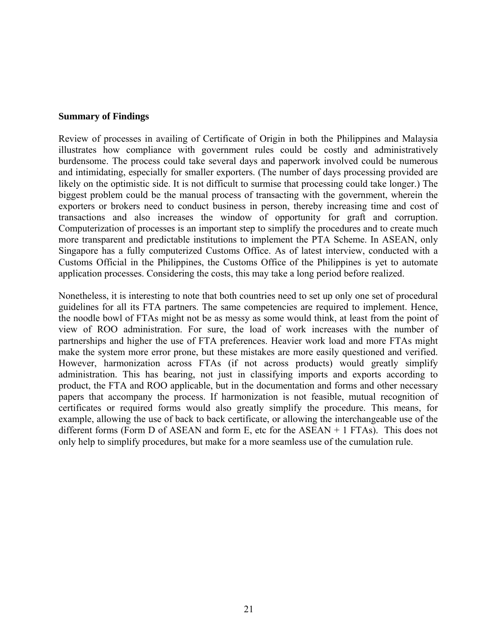#### **Summary of Findings**

Review of processes in availing of Certificate of Origin in both the Philippines and Malaysia illustrates how compliance with government rules could be costly and administratively burdensome. The process could take several days and paperwork involved could be numerous and intimidating, especially for smaller exporters. (The number of days processing provided are likely on the optimistic side. It is not difficult to surmise that processing could take longer.) The biggest problem could be the manual process of transacting with the government, wherein the exporters or brokers need to conduct business in person, thereby increasing time and cost of transactions and also increases the window of opportunity for graft and corruption. Computerization of processes is an important step to simplify the procedures and to create much more transparent and predictable institutions to implement the PTA Scheme. In ASEAN, only Singapore has a fully computerized Customs Office. As of latest interview, conducted with a Customs Official in the Philippines, the Customs Office of the Philippines is yet to automate application processes. Considering the costs, this may take a long period before realized.

Nonetheless, it is interesting to note that both countries need to set up only one set of procedural guidelines for all its FTA partners. The same competencies are required to implement. Hence, the noodle bowl of FTAs might not be as messy as some would think, at least from the point of view of ROO administration. For sure, the load of work increases with the number of partnerships and higher the use of FTA preferences. Heavier work load and more FTAs might make the system more error prone, but these mistakes are more easily questioned and verified. However, harmonization across FTAs (if not across products) would greatly simplify administration. This has bearing, not just in classifying imports and exports according to product, the FTA and ROO applicable, but in the documentation and forms and other necessary papers that accompany the process. If harmonization is not feasible, mutual recognition of certificates or required forms would also greatly simplify the procedure. This means, for example, allowing the use of back to back certificate, or allowing the interchangeable use of the different forms (Form D of ASEAN and form E, etc for the ASEAN + 1 FTAs). This does not only help to simplify procedures, but make for a more seamless use of the cumulation rule.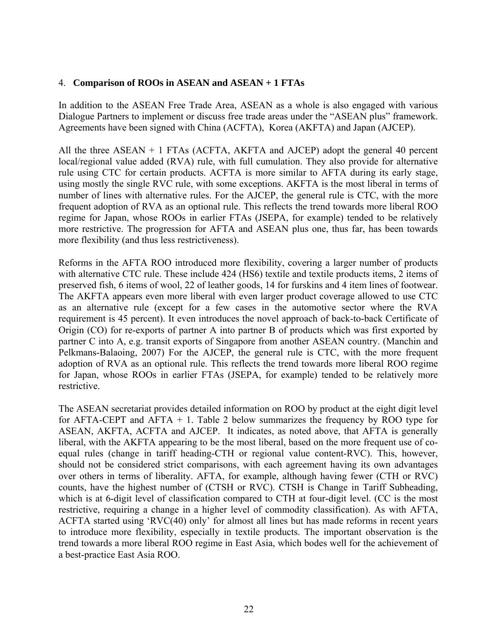# 4. **Comparison of ROOs in ASEAN and ASEAN + 1 FTAs**

In addition to the ASEAN Free Trade Area, ASEAN as a whole is also engaged with various Dialogue Partners to implement or discuss free trade areas under the "ASEAN plus" framework. Agreements have been signed with China (ACFTA), Korea (AKFTA) and Japan (AJCEP).

All the three ASEAN + 1 FTAs (ACFTA, AKFTA and AJCEP) adopt the general 40 percent local/regional value added (RVA) rule, with full cumulation. They also provide for alternative rule using CTC for certain products. ACFTA is more similar to AFTA during its early stage, using mostly the single RVC rule, with some exceptions. AKFTA is the most liberal in terms of number of lines with alternative rules. For the AJCEP, the general rule is CTC, with the more frequent adoption of RVA as an optional rule. This reflects the trend towards more liberal ROO regime for Japan, whose ROOs in earlier FTAs (JSEPA, for example) tended to be relatively more restrictive. The progression for AFTA and ASEAN plus one, thus far, has been towards more flexibility (and thus less restrictiveness).

Reforms in the AFTA ROO introduced more flexibility, covering a larger number of products with alternative CTC rule. These include 424 (HS6) textile and textile products items, 2 items of preserved fish, 6 items of wool, 22 of leather goods, 14 for furskins and 4 item lines of footwear. The AKFTA appears even more liberal with even larger product coverage allowed to use CTC as an alternative rule (except for a few cases in the automotive sector where the RVA requirement is 45 percent). It even introduces the novel approach of back-to-back Certificate of Origin (CO) for re-exports of partner A into partner B of products which was first exported by partner C into A, e.g. transit exports of Singapore from another ASEAN country. (Manchin and Pelkmans-Balaoing, 2007) For the AJCEP, the general rule is CTC, with the more frequent adoption of RVA as an optional rule. This reflects the trend towards more liberal ROO regime for Japan, whose ROOs in earlier FTAs (JSEPA, for example) tended to be relatively more restrictive.

The ASEAN secretariat provides detailed information on ROO by product at the eight digit level for AFTA-CEPT and AFTA  $+ 1$ . Table 2 below summarizes the frequency by ROO type for ASEAN, AKFTA, ACFTA and AJCEP. It indicates, as noted above, that AFTA is generally liberal, with the AKFTA appearing to be the most liberal, based on the more frequent use of coequal rules (change in tariff heading-CTH or regional value content-RVC). This, however, should not be considered strict comparisons, with each agreement having its own advantages over others in terms of liberality. AFTA, for example, although having fewer (CTH or RVC) counts, have the highest number of (CTSH or RVC). CTSH is Change in Tariff Subheading, which is at 6-digit level of classification compared to CTH at four-digit level. (CC is the most restrictive, requiring a change in a higher level of commodity classification). As with AFTA, ACFTA started using 'RVC(40) only' for almost all lines but has made reforms in recent years to introduce more flexibility, especially in textile products. The important observation is the trend towards a more liberal ROO regime in East Asia, which bodes well for the achievement of a best-practice East Asia ROO.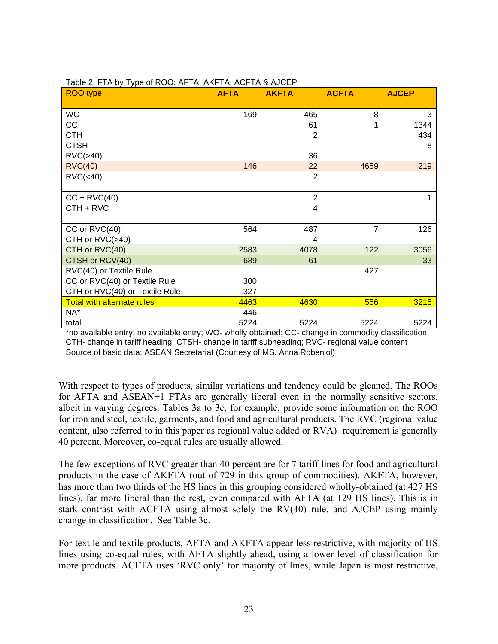| <b>AFTA</b> | <b>AKFTA</b>                                                   | <b>ACFTA</b>                                                         | <b>AJCEP</b>                                |
|-------------|----------------------------------------------------------------|----------------------------------------------------------------------|---------------------------------------------|
|             |                                                                | 8                                                                    | 3                                           |
|             | 61                                                             |                                                                      | 1344                                        |
|             | 2                                                              |                                                                      | 434                                         |
|             |                                                                |                                                                      | 8                                           |
|             | 36                                                             |                                                                      |                                             |
| 146         | 22                                                             | 4659                                                                 | 219                                         |
|             | $\overline{2}$                                                 |                                                                      |                                             |
|             |                                                                |                                                                      |                                             |
|             |                                                                |                                                                      |                                             |
|             |                                                                |                                                                      |                                             |
|             |                                                                |                                                                      |                                             |
|             |                                                                |                                                                      | 126                                         |
|             |                                                                |                                                                      |                                             |
|             |                                                                |                                                                      | 3056                                        |
|             |                                                                |                                                                      | 33                                          |
|             |                                                                |                                                                      |                                             |
|             |                                                                |                                                                      |                                             |
|             |                                                                |                                                                      |                                             |
|             |                                                                |                                                                      | 3215                                        |
|             |                                                                |                                                                      | 5224                                        |
|             | 169<br>564<br>2583<br>689<br>300<br>327<br>4463<br>446<br>5224 | 465<br>$\overline{2}$<br>4<br>487<br>4<br>4078<br>61<br>4630<br>5224 | $\overline{7}$<br>122<br>427<br>556<br>5224 |

#### Table 2. FTA by Type of ROO: AFTA, AKFTA, ACFTA & AJCEP

\*no available entry; no available entry; WO- wholly obtained; CC- change in commodity classification; CTH- change in tariff heading; CTSH- change in tariff subheading; RVC- regional value content Source of basic data: ASEAN Secretariat (Courtesy of MS. Anna Robeniol)

With respect to types of products, similar variations and tendency could be gleaned. The ROOs for AFTA and ASEAN+1 FTAs are generally liberal even in the normally sensitive sectors, albeit in varying degrees. Tables 3a to 3c, for example, provide some information on the ROO for iron and steel, textile, garments, and food and agricultural products. The RVC (regional value content, also referred to in this paper as regional value added or RVA) requirement is generally 40 percent. Moreover, co-equal rules are usually allowed.

The few exceptions of RVC greater than 40 percent are for 7 tariff lines for food and agricultural products in the case of AKFTA (out of 729 in this group of commodities). AKFTA, however, has more than two thirds of the HS lines in this grouping considered wholly-obtained (at 427 HS lines), far more liberal than the rest, even compared with AFTA (at 129 HS lines). This is in stark contrast with ACFTA using almost solely the RV(40) rule, and AJCEP using mainly change in classification. See Table 3c.

For textile and textile products, AFTA and AKFTA appear less restrictive, with majority of HS lines using co-equal rules, with AFTA slightly ahead, using a lower level of classification for more products. ACFTA uses 'RVC only' for majority of lines, while Japan is most restrictive,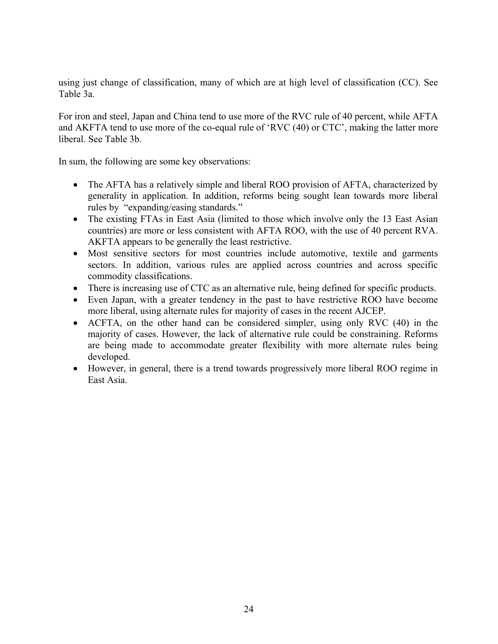using just change of classification, many of which are at high level of classification (CC). See Table 3a.

For iron and steel, Japan and China tend to use more of the RVC rule of 40 percent, while AFTA and AKFTA tend to use more of the co-equal rule of 'RVC (40) or CTC', making the latter more liberal. See Table 3b.

In sum, the following are some key observations:

- The AFTA has a relatively simple and liberal ROO provision of AFTA, characterized by generality in application. In addition, reforms being sought lean towards more liberal rules by "expanding/easing standards."
- The existing FTAs in East Asia (limited to those which involve only the 13 East Asian countries) are more or less consistent with AFTA ROO, with the use of 40 percent RVA. AKFTA appears to be generally the least restrictive.
- Most sensitive sectors for most countries include automotive, textile and garments sectors. In addition, various rules are applied across countries and across specific commodity classifications.
- There is increasing use of CTC as an alternative rule, being defined for specific products.
- Even Japan, with a greater tendency in the past to have restrictive ROO have become more liberal, using alternate rules for majority of cases in the recent AJCEP.
- ACFTA, on the other hand can be considered simpler, using only RVC (40) in the majority of cases. However, the lack of alternative rule could be constraining. Reforms are being made to accommodate greater flexibility with more alternate rules being developed.
- However, in general, there is a trend towards progressively more liberal ROO regime in East Asia.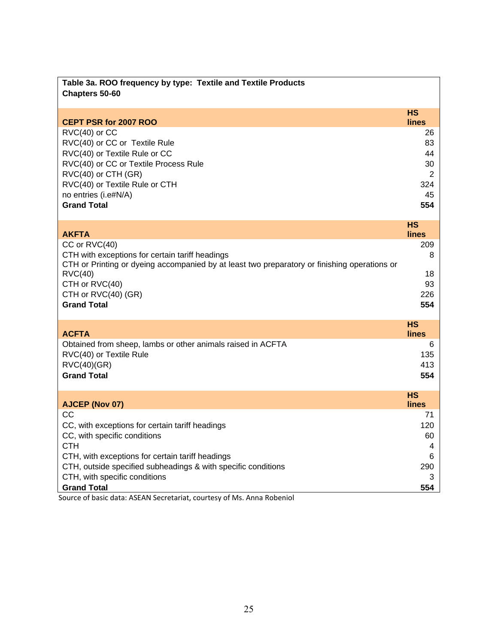| Table 3a. ROO frequency by type: Textile and Textile Products<br>Chapters 50-60                                                                                                                   |                           |
|---------------------------------------------------------------------------------------------------------------------------------------------------------------------------------------------------|---------------------------|
|                                                                                                                                                                                                   | <b>HS</b>                 |
| <b>CEPT PSR for 2007 ROO</b>                                                                                                                                                                      | lines                     |
| $RVC(40)$ or $CC$                                                                                                                                                                                 | 26                        |
| RVC(40) or CC or Textile Rule<br>RVC(40) or Textile Rule or CC                                                                                                                                    | 83<br>44                  |
| RVC(40) or CC or Textile Process Rule                                                                                                                                                             | 30                        |
| RVC(40) or CTH (GR)                                                                                                                                                                               | 2                         |
| RVC(40) or Textile Rule or CTH                                                                                                                                                                    | 324                       |
| no entries (i.e#N/A)                                                                                                                                                                              | 45                        |
| <b>Grand Total</b>                                                                                                                                                                                | 554                       |
|                                                                                                                                                                                                   |                           |
| <b>AKFTA</b>                                                                                                                                                                                      | <b>HS</b><br><b>lines</b> |
| CC or RVC(40)                                                                                                                                                                                     | 209                       |
| CTH with exceptions for certain tariff headings                                                                                                                                                   | 8                         |
| CTH or Printing or dyeing accompanied by at least two preparatory or finishing operations or                                                                                                      |                           |
| $\text{RVC}(40)$                                                                                                                                                                                  | 18                        |
| CTH or RVC(40)                                                                                                                                                                                    | 93                        |
| CTH or RVC(40) (GR)                                                                                                                                                                               | 226                       |
| <b>Grand Total</b>                                                                                                                                                                                | 554                       |
|                                                                                                                                                                                                   | <b>HS</b>                 |
| <b>ACFTA</b>                                                                                                                                                                                      | <b>lines</b>              |
| Obtained from sheep, lambs or other animals raised in ACFTA                                                                                                                                       | 6                         |
| RVC(40) or Textile Rule                                                                                                                                                                           | 135                       |
| <b>RVC(40)(GR)</b>                                                                                                                                                                                | 413                       |
| <b>Grand Total</b>                                                                                                                                                                                | 554                       |
|                                                                                                                                                                                                   | <b>HS</b>                 |
| AJCEP (Nov 07)                                                                                                                                                                                    | <b>lines</b>              |
| CC                                                                                                                                                                                                | 71                        |
| CC, with exceptions for certain tariff headings                                                                                                                                                   | 120                       |
| CC, with specific conditions                                                                                                                                                                      | 60                        |
| <b>CTH</b>                                                                                                                                                                                        | 4                         |
| CTH, with exceptions for certain tariff headings                                                                                                                                                  | 6                         |
| CTH, outside specified subheadings & with specific conditions                                                                                                                                     | 290                       |
| CTH, with specific conditions<br><b>Grand Total</b>                                                                                                                                               | 3<br>554                  |
| بالتكاتب والمساور<br>$\mathbf{A}$ and $\mathbf{A}$ and $\mathbf{A}$ and $\mathbf{A}$ are $\mathbf{A}$ and $\mathbf{A}$ and $\mathbf{A}$ are $\mathbf{A}$ and $\mathbf{A}$<br>$-0.0000$<br>$D = 1$ |                           |

Source of basic data: ASEAN Secretariat, courtesy of Ms. Anna Robeniol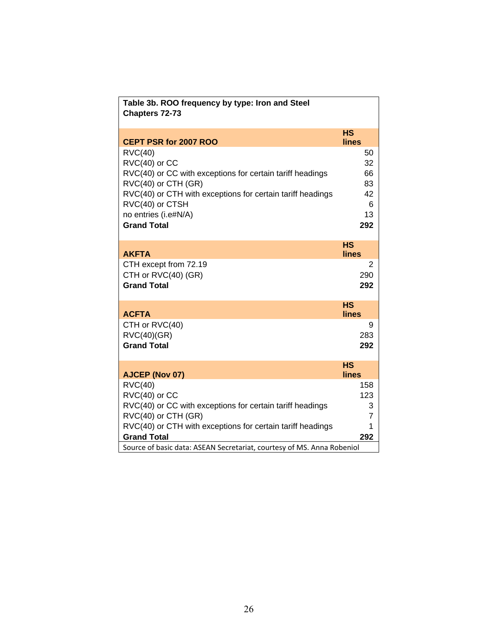| Table 3b. ROO frequency by type: Iron and Steel<br>Chapters 72-73                 |                           |
|-----------------------------------------------------------------------------------|---------------------------|
| CEPT PSR for 2007 ROO                                                             | <b>HS</b><br><b>lines</b> |
| $\text{RVC}(40)$                                                                  | 50                        |
| $RVC(40)$ or $CC$                                                                 | 32                        |
| RVC(40) or CC with exceptions for certain tariff headings                         | 66                        |
| RVC(40) or CTH (GR)<br>RVC(40) or CTH with exceptions for certain tariff headings | 83<br>42                  |
| RVC(40) or CTSH                                                                   | 6                         |
| no entries (i.e#N/A)                                                              | 13                        |
| <b>Grand Total</b>                                                                | 292                       |
|                                                                                   |                           |
|                                                                                   | <b>HS</b>                 |
| <b>AKFTA</b>                                                                      | lines                     |
| CTH except from 72.19<br>CTH or RVC(40) (GR)                                      | 2<br>290                  |
| <b>Grand Total</b>                                                                | 292                       |
|                                                                                   |                           |
|                                                                                   | <b>HS</b>                 |
| <b>ACFTA</b>                                                                      | lines                     |
| CTH or RVC(40)                                                                    | 9                         |
| $\text{RVC}(40)(\text{GR})$<br><b>Grand Total</b>                                 | 283<br>292                |
|                                                                                   |                           |
|                                                                                   | <b>HS</b>                 |
| <b>AJCEP (Nov 07)</b>                                                             | lines                     |
| $\text{RVC}(40)$                                                                  | 158                       |
| $RVC(40)$ or $CC$                                                                 | 123                       |
| RVC(40) or CC with exceptions for certain tariff headings                         | 3                         |
| RVC(40) or CTH (GR)<br>RVC(40) or CTH with exceptions for certain tariff headings | $\overline{7}$<br>1       |
| <b>Grand Total</b>                                                                | 292                       |
| Source of basic data: ASEAN Secretariat, courtesy of MS. Anna Robeniol            |                           |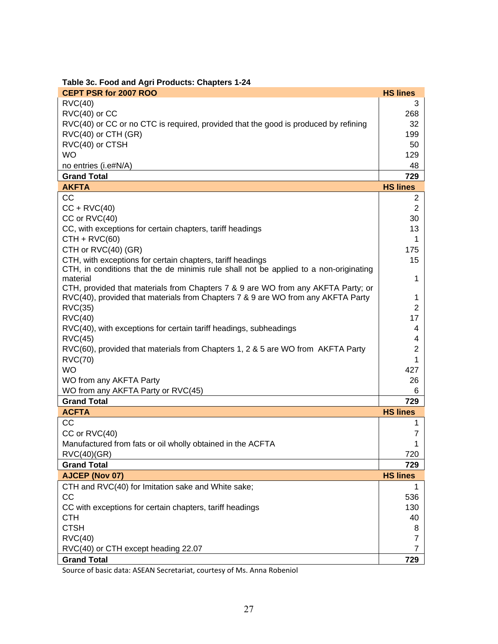| CEPT PSR for 2007 ROO                                                                             | <b>HS lines</b> |
|---------------------------------------------------------------------------------------------------|-----------------|
| $\text{RVC}(40)$                                                                                  | 3               |
| $RVC(40)$ or $CC$                                                                                 | 268             |
| RVC(40) or CC or no CTC is required, provided that the good is produced by refining               | 32              |
| RVC(40) or CTH (GR)                                                                               | 199             |
| RVC(40) or CTSH                                                                                   | 50              |
| <b>WO</b>                                                                                         | 129             |
| no entries (i.e#N/A)                                                                              | 48              |
| <b>Grand Total</b>                                                                                | 729             |
| <b>AKFTA</b>                                                                                      | <b>HS lines</b> |
| CC                                                                                                | 2               |
| $CC + RVC(40)$                                                                                    | $\overline{2}$  |
| CC or RVC(40)                                                                                     | 30              |
| CC, with exceptions for certain chapters, tariff headings                                         | 13              |
| $CTH + RVC(60)$                                                                                   | 1               |
| CTH or RVC(40) (GR)                                                                               | 175             |
| CTH, with exceptions for certain chapters, tariff headings                                        | 15              |
| CTH, in conditions that the de minimis rule shall not be applied to a non-originating<br>material | 1               |
| CTH, provided that materials from Chapters 7 & 9 are WO from any AKFTA Party; or                  |                 |
| RVC(40), provided that materials from Chapters 7 & 9 are WO from any AKFTA Party                  | 1               |
| <b>RVC(35)</b>                                                                                    | 2               |
| $\text{RVC}(40)$                                                                                  | 17              |
| RVC(40), with exceptions for certain tariff headings, subheadings                                 | 4               |
| $\text{RVC}(45)$                                                                                  | 4               |
| RVC(60), provided that materials from Chapters 1, 2 & 5 are WO from AKFTA Party                   | 2               |
| <b>RVC(70)</b>                                                                                    | 1               |
| <b>WO</b>                                                                                         | 427             |
| WO from any AKFTA Party                                                                           | 26              |
| WO from any AKFTA Party or RVC(45)                                                                | 6               |
| <b>Grand Total</b>                                                                                | 729             |
| <b>ACFTA</b>                                                                                      | <b>HS lines</b> |
| CC                                                                                                | 1               |
| CC or RVC(40)                                                                                     | 7               |
| Manufactured from fats or oil wholly obtained in the ACFTA                                        | 1               |
| <b>RVC(40)(GR)</b>                                                                                | 720             |
| <b>Grand Total</b>                                                                                | 729             |
| AJCEP (Nov 07)                                                                                    | <b>HS lines</b> |
| CTH and RVC(40) for Imitation sake and White sake;                                                | 1               |
| <b>CC</b>                                                                                         | 536             |
| CC with exceptions for certain chapters, tariff headings                                          | 130             |
| CTH                                                                                               | 40              |
| <b>CTSH</b>                                                                                       | 8               |
| $\text{RVC}(40)$                                                                                  | 7               |
| RVC(40) or CTH except heading 22.07                                                               | 7               |
| <b>Grand Total</b>                                                                                | 729             |

Source of basic data: ASEAN Secretariat, courtesy of Ms. Anna Robeniol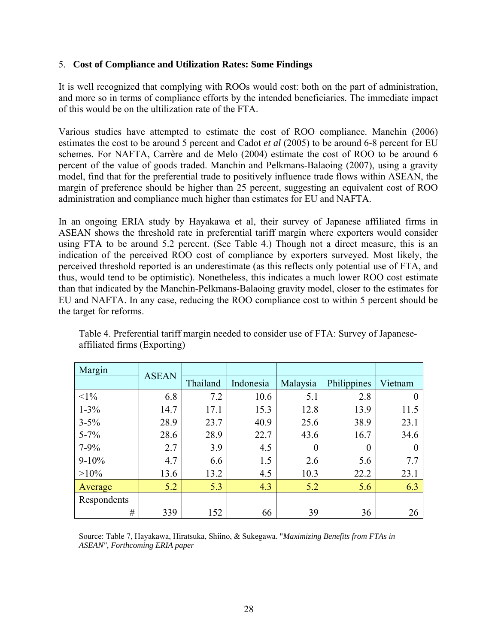# 5. **Cost of Compliance and Utilization Rates: Some Findings**

It is well recognized that complying with ROOs would cost: both on the part of administration, and more so in terms of compliance efforts by the intended beneficiaries. The immediate impact of this would be on the ultilization rate of the FTA.

Various studies have attempted to estimate the cost of ROO compliance. Manchin (2006) estimates the cost to be around 5 percent and Cadot *et al* (2005) to be around 6-8 percent for EU schemes. For NAFTA, Carrère and de Melo (2004) estimate the cost of ROO to be around 6 percent of the value of goods traded. Manchin and Pelkmans-Balaoing (2007), using a gravity model, find that for the preferential trade to positively influence trade flows within ASEAN, the margin of preference should be higher than 25 percent, suggesting an equivalent cost of ROO administration and compliance much higher than estimates for EU and NAFTA.

In an ongoing ERIA study by Hayakawa et al, their survey of Japanese affiliated firms in ASEAN shows the threshold rate in preferential tariff margin where exporters would consider using FTA to be around 5.2 percent. (See Table 4.) Though not a direct measure, this is an indication of the perceived ROO cost of compliance by exporters surveyed. Most likely, the perceived threshold reported is an underestimate (as this reflects only potential use of FTA, and thus, would tend to be optimistic). Nonetheless, this indicates a much lower ROO cost estimate than that indicated by the Manchin-Pelkmans-Balaoing gravity model, closer to the estimates for EU and NAFTA. In any case, reducing the ROO compliance cost to within 5 percent should be the target for reforms.

| Margin      | <b>ASEAN</b> |          |           |          |             |         |
|-------------|--------------|----------|-----------|----------|-------------|---------|
|             |              | Thailand | Indonesia | Malaysia | Philippines | Vietnam |
| $<1\%$      | 6.8          | 7.2      | 10.6      | 5.1      | 2.8         |         |
| $1 - 3\%$   | 14.7         | 17.1     | 15.3      | 12.8     | 13.9        | 11.5    |
| $3 - 5\%$   | 28.9         | 23.7     | 40.9      | 25.6     | 38.9        | 23.1    |
| $5 - 7\%$   | 28.6         | 28.9     | 22.7      | 43.6     | 16.7        | 34.6    |
| $7 - 9\%$   | 2.7          | 3.9      | 4.5       | 0        | 0           |         |
| $9 - 10\%$  | 4.7          | 6.6      | 1.5       | 2.6      | 5.6         | 7.7     |
| $>10\%$     | 13.6         | 13.2     | 4.5       | 10.3     | 22.2        | 23.1    |
| Average     | 5.2          | 5.3      | 4.3       | 5.2      | 5.6         | 6.3     |
| Respondents |              |          |           |          |             |         |
| #           | 339          | 152      | 66        | 39       | 36          | 26      |

Table 4. Preferential tariff margin needed to consider use of FTA: Survey of Japaneseaffiliated firms (Exporting)

 Source: Table 7, Hayakawa, Hiratsuka, Shiino, & Sukegawa. "*Maximizing Benefits from FTAs in ASEAN", Forthcoming ERIA paper*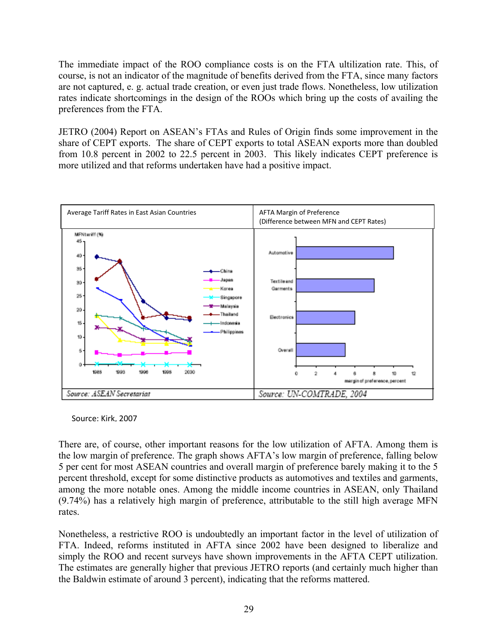The immediate impact of the ROO compliance costs is on the FTA ultilization rate. This, of course, is not an indicator of the magnitude of benefits derived from the FTA, since many factors are not captured, e. g. actual trade creation, or even just trade flows. Nonetheless, low utilization rates indicate shortcomings in the design of the ROOs which bring up the costs of availing the preferences from the FTA.

JETRO (2004) Report on ASEAN's FTAs and Rules of Origin finds some improvement in the share of CEPT exports. The share of CEPT exports to total ASEAN exports more than doubled from 10.8 percent in 2002 to 22.5 percent in 2003. This likely indicates CEPT preference is more utilized and that reforms undertaken have had a positive impact.



Source: Kirk, 2007

There are, of course, other important reasons for the low utilization of AFTA. Among them is the low margin of preference. The graph shows AFTA's low margin of preference, falling below 5 per cent for most ASEAN countries and overall margin of preference barely making it to the 5 percent threshold, except for some distinctive products as automotives and textiles and garments, among the more notable ones. Among the middle income countries in ASEAN, only Thailand (9.74%) has a relatively high margin of preference, attributable to the still high average MFN rates.

Nonetheless, a restrictive ROO is undoubtedly an important factor in the level of utilization of FTA. Indeed, reforms instituted in AFTA since 2002 have been designed to liberalize and simply the ROO and recent surveys have shown improvements in the AFTA CEPT utilization. The estimates are generally higher that previous JETRO reports (and certainly much higher than the Baldwin estimate of around 3 percent), indicating that the reforms mattered.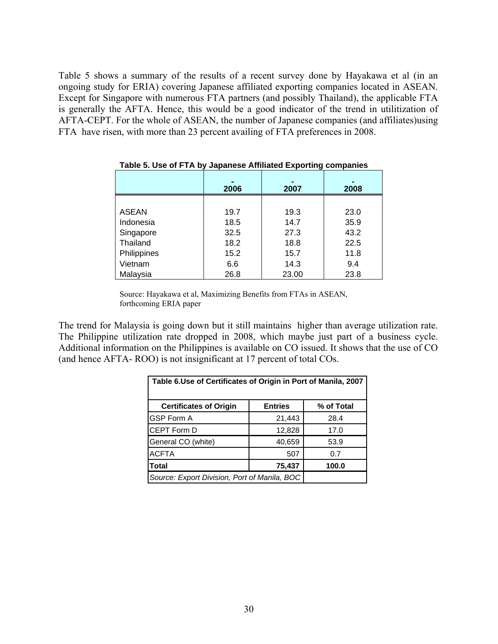Table 5 shows a summary of the results of a recent survey done by Hayakawa et al (in an ongoing study for ERIA) covering Japanese affiliated exporting companies located in ASEAN. Except for Singapore with numerous FTA partners (and possibly Thailand), the applicable FTA is generally the AFTA. Hence, this would be a good indicator of the trend in utilitization of AFTA-CEPT. For the whole of ASEAN, the number of Japanese companies (and affiliates)using FTA have risen, with more than 23 percent availing of FTA preferences in 2008.

|              | 2006 | 2007  | $\blacksquare$<br>2008 |
|--------------|------|-------|------------------------|
|              |      |       |                        |
| <b>ASEAN</b> | 19.7 | 19.3  | 23.0                   |
| Indonesia    | 18.5 | 14.7  | 35.9                   |
| Singapore    | 32.5 | 27.3  | 43.2                   |
| Thailand     | 18.2 | 18.8  | 22.5                   |
| Philippines  | 15.2 | 15.7  | 11.8                   |
| Vietnam      | 6.6  | 14.3  | 9.4                    |
| Malaysia     | 26.8 | 23.00 | 23.8                   |

#### **Table 5. Use of FTA by Japanese Affiliated Exporting companies**

Source: Hayakawa et al, Maximizing Benefits from FTAs in ASEAN, forthcoming ERIA paper

The trend for Malaysia is going down but it still maintains higher than average utilization rate. The Philippine utilization rate dropped in 2008, which maybe just part of a business cycle. Additional information on the Philippines is available on CO issued. It shows that the use of CO (and hence AFTA- ROO) is not insignificant at 17 percent of total COs.

| Table 6.Use of Certificates of Origin in Port of Manila, 2007 |                |            |  |  |
|---------------------------------------------------------------|----------------|------------|--|--|
| <b>Certificates of Origin</b>                                 | <b>Entries</b> | % of Total |  |  |
| <b>GSP Form A</b>                                             | 21,443         | 28.4       |  |  |
| <b>CEPT Form D</b>                                            | 12,828         | 17.0       |  |  |
| General CO (white)                                            | 40,659         | 53.9       |  |  |
| <b>ACFTA</b>                                                  | 507            | 0.7        |  |  |
| <b>Total</b>                                                  | 75,437         | 100.0      |  |  |
| Source: Export Division, Port of Manila, BOC                  |                |            |  |  |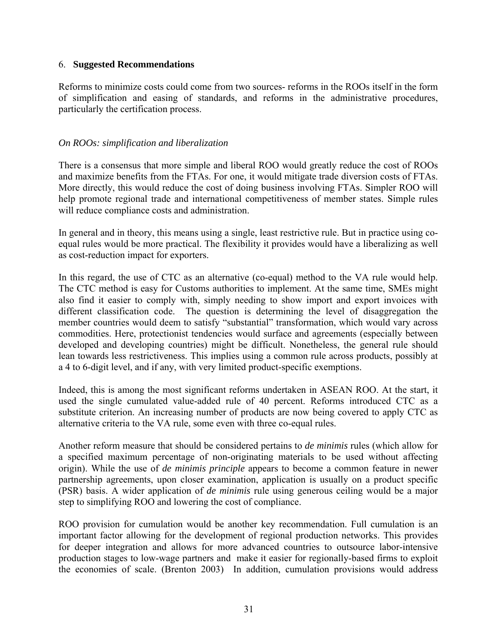#### 6. **Suggested Recommendations**

Reforms to minimize costs could come from two sources- reforms in the ROOs itself in the form of simplification and easing of standards, and reforms in the administrative procedures, particularly the certification process.

### *On ROOs: simplification and liberalization*

There is a consensus that more simple and liberal ROO would greatly reduce the cost of ROOs and maximize benefits from the FTAs. For one, it would mitigate trade diversion costs of FTAs. More directly, this would reduce the cost of doing business involving FTAs. Simpler ROO will help promote regional trade and international competitiveness of member states. Simple rules will reduce compliance costs and administration.

In general and in theory, this means using a single, least restrictive rule. But in practice using coequal rules would be more practical. The flexibility it provides would have a liberalizing as well as cost-reduction impact for exporters.

In this regard, the use of CTC as an alternative (co-equal) method to the VA rule would help. The CTC method is easy for Customs authorities to implement. At the same time, SMEs might also find it easier to comply with, simply needing to show import and export invoices with different classification code. The question is determining the level of disaggregation the member countries would deem to satisfy "substantial" transformation, which would vary across commodities. Here, protectionist tendencies would surface and agreements (especially between developed and developing countries) might be difficult. Nonetheless, the general rule should lean towards less restrictiveness. This implies using a common rule across products, possibly at a 4 to 6-digit level, and if any, with very limited product-specific exemptions.

Indeed, this is among the most significant reforms undertaken in ASEAN ROO. At the start, it used the single cumulated value-added rule of 40 percent. Reforms introduced CTC as a substitute criterion. An increasing number of products are now being covered to apply CTC as alternative criteria to the VA rule, some even with three co-equal rules.

Another reform measure that should be considered pertains to *de minimis* rules (which allow for a specified maximum percentage of non-originating materials to be used without affecting origin). While the use of *de minimis principle* appears to become a common feature in newer partnership agreements, upon closer examination, application is usually on a product specific (PSR) basis. A wider application of *de minimis* rule using generous ceiling would be a major step to simplifying ROO and lowering the cost of compliance.

ROO provision for cumulation would be another key recommendation. Full cumulation is an important factor allowing for the development of regional production networks. This provides for deeper integration and allows for more advanced countries to outsource labor-intensive production stages to low-wage partners and make it easier for regionally-based firms to exploit the economies of scale. (Brenton 2003) In addition, cumulation provisions would address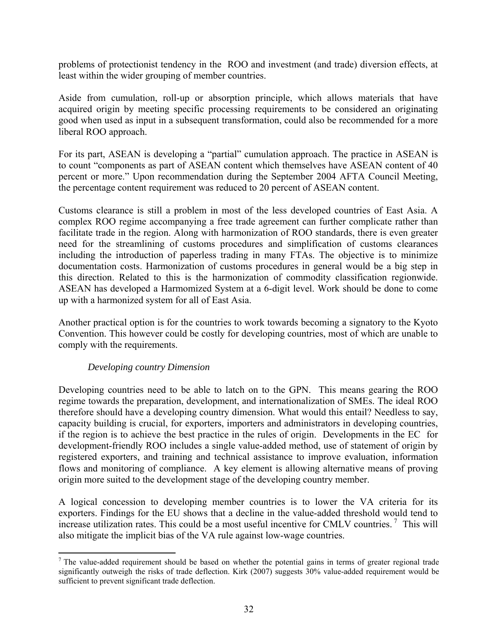problems of protectionist tendency in the ROO and investment (and trade) diversion effects, at least within the wider grouping of member countries.

Aside from cumulation, roll-up or absorption principle, which allows materials that have acquired origin by meeting specific processing requirements to be considered an originating good when used as input in a subsequent transformation, could also be recommended for a more liberal ROO approach.

For its part, ASEAN is developing a "partial" cumulation approach. The practice in ASEAN is to count "components as part of ASEAN content which themselves have ASEAN content of 40 percent or more." Upon recommendation during the September 2004 AFTA Council Meeting, the percentage content requirement was reduced to 20 percent of ASEAN content.

Customs clearance is still a problem in most of the less developed countries of East Asia. A complex ROO regime accompanying a free trade agreement can further complicate rather than facilitate trade in the region. Along with harmonization of ROO standards, there is even greater need for the streamlining of customs procedures and simplification of customs clearances including the introduction of paperless trading in many FTAs. The objective is to minimize documentation costs. Harmonization of customs procedures in general would be a big step in this direction. Related to this is the harmonization of commodity classification regionwide. ASEAN has developed a Harmomized System at a 6-digit level. Work should be done to come up with a harmonized system for all of East Asia.

Another practical option is for the countries to work towards becoming a signatory to the Kyoto Convention. This however could be costly for developing countries, most of which are unable to comply with the requirements.

#### *Developing country Dimension*

Developing countries need to be able to latch on to the GPN. This means gearing the ROO regime towards the preparation, development, and internationalization of SMEs. The ideal ROO therefore should have a developing country dimension. What would this entail? Needless to say, capacity building is crucial, for exporters, importers and administrators in developing countries, if the region is to achieve the best practice in the rules of origin. Developments in the EC for development-friendly ROO includes a single value-added method, use of statement of origin by registered exporters, and training and technical assistance to improve evaluation, information flows and monitoring of compliance. A key element is allowing alternative means of proving origin more suited to the development stage of the developing country member.

A logical concession to developing member countries is to lower the VA criteria for its exporters. Findings for the EU shows that a decline in the value-added threshold would tend to increase utilization rates. This could be a most useful incentive for CMLV countries.<sup>7</sup> This will also mitigate the implicit bias of the VA rule against low-wage countries.

 <sup>7</sup> The value-added requirement should be based on whether the potential gains in terms of greater regional trade significantly outweigh the risks of trade deflection. Kirk (2007) suggests 30% value-added requirement would be sufficient to prevent significant trade deflection.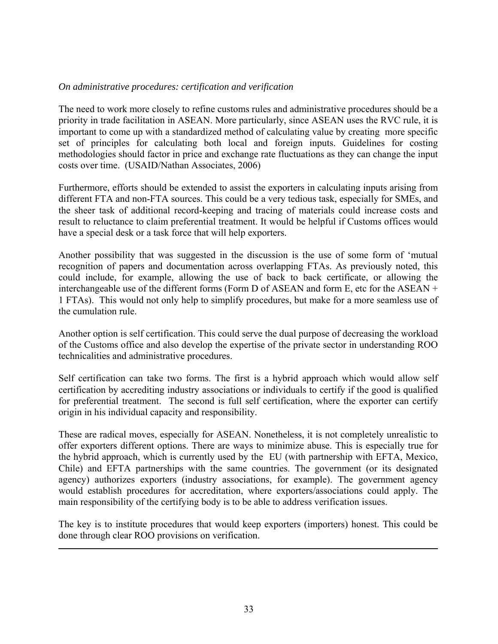### *On administrative procedures: certification and verification*

The need to work more closely to refine customs rules and administrative procedures should be a priority in trade facilitation in ASEAN. More particularly, since ASEAN uses the RVC rule, it is important to come up with a standardized method of calculating value by creating more specific set of principles for calculating both local and foreign inputs. Guidelines for costing methodologies should factor in price and exchange rate fluctuations as they can change the input costs over time. (USAID/Nathan Associates, 2006)

Furthermore, efforts should be extended to assist the exporters in calculating inputs arising from different FTA and non-FTA sources. This could be a very tedious task, especially for SMEs, and the sheer task of additional record-keeping and tracing of materials could increase costs and result to reluctance to claim preferential treatment. It would be helpful if Customs offices would have a special desk or a task force that will help exporters.

Another possibility that was suggested in the discussion is the use of some form of 'mutual recognition of papers and documentation across overlapping FTAs. As previously noted, this could include, for example, allowing the use of back to back certificate, or allowing the interchangeable use of the different forms (Form D of ASEAN and form E, etc for the ASEAN + 1 FTAs). This would not only help to simplify procedures, but make for a more seamless use of the cumulation rule.

Another option is self certification. This could serve the dual purpose of decreasing the workload of the Customs office and also develop the expertise of the private sector in understanding ROO technicalities and administrative procedures.

Self certification can take two forms. The first is a hybrid approach which would allow self certification by accrediting industry associations or individuals to certify if the good is qualified for preferential treatment. The second is full self certification, where the exporter can certify origin in his individual capacity and responsibility.

These are radical moves, especially for ASEAN. Nonetheless, it is not completely unrealistic to offer exporters different options. There are ways to minimize abuse. This is especially true for the hybrid approach, which is currently used by the EU (with partnership with EFTA, Mexico, Chile) and EFTA partnerships with the same countries. The government (or its designated agency) authorizes exporters (industry associations, for example). The government agency would establish procedures for accreditation, where exporters/associations could apply. The main responsibility of the certifying body is to be able to address verification issues.

The key is to institute procedures that would keep exporters (importers) honest. This could be done through clear ROO provisions on verification.

<u> 1989 - Andrea Santa Alemania, amerikana amerikana amerikana amerikana amerikana amerikana amerikana amerikan</u>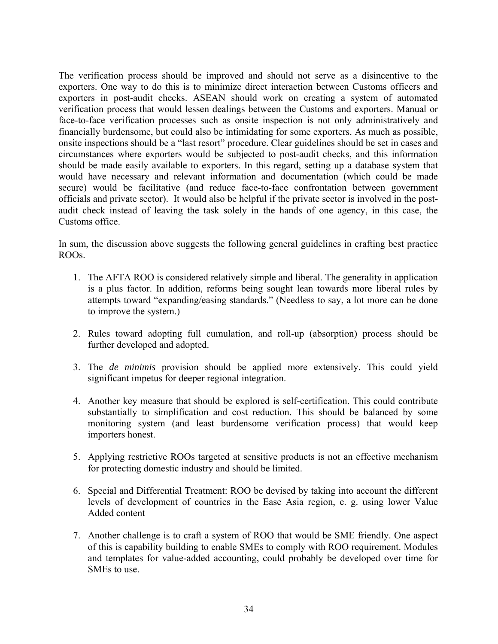The verification process should be improved and should not serve as a disincentive to the exporters. One way to do this is to minimize direct interaction between Customs officers and exporters in post-audit checks. ASEAN should work on creating a system of automated verification process that would lessen dealings between the Customs and exporters. Manual or face-to-face verification processes such as onsite inspection is not only administratively and financially burdensome, but could also be intimidating for some exporters. As much as possible, onsite inspections should be a "last resort" procedure. Clear guidelines should be set in cases and circumstances where exporters would be subjected to post-audit checks, and this information should be made easily available to exporters. In this regard, setting up a database system that would have necessary and relevant information and documentation (which could be made secure) would be facilitative (and reduce face-to-face confrontation between government officials and private sector). It would also be helpful if the private sector is involved in the postaudit check instead of leaving the task solely in the hands of one agency, in this case, the Customs office.

In sum, the discussion above suggests the following general guidelines in crafting best practice ROOs.

- 1. The AFTA ROO is considered relatively simple and liberal. The generality in application is a plus factor. In addition, reforms being sought lean towards more liberal rules by attempts toward "expanding/easing standards." (Needless to say, a lot more can be done to improve the system.)
- 2. Rules toward adopting full cumulation, and roll-up (absorption) process should be further developed and adopted.
- 3. The *de minimis* provision should be applied more extensively. This could yield significant impetus for deeper regional integration.
- 4. Another key measure that should be explored is self-certification. This could contribute substantially to simplification and cost reduction. This should be balanced by some monitoring system (and least burdensome verification process) that would keep importers honest.
- 5. Applying restrictive ROOs targeted at sensitive products is not an effective mechanism for protecting domestic industry and should be limited.
- 6. Special and Differential Treatment: ROO be devised by taking into account the different levels of development of countries in the Ease Asia region, e. g. using lower Value Added content
- 7. Another challenge is to craft a system of ROO that would be SME friendly. One aspect of this is capability building to enable SMEs to comply with ROO requirement. Modules and templates for value-added accounting, could probably be developed over time for SMEs to use.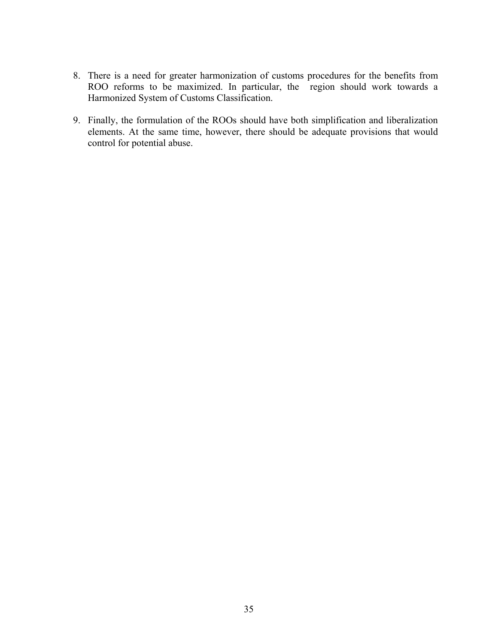- 8. There is a need for greater harmonization of customs procedures for the benefits from ROO reforms to be maximized. In particular, the region should work towards a Harmonized System of Customs Classification.
- 9. Finally, the formulation of the ROOs should have both simplification and liberalization elements. At the same time, however, there should be adequate provisions that would control for potential abuse.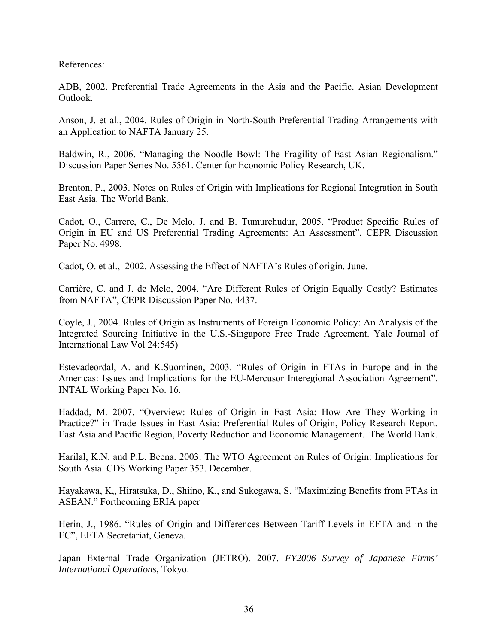References:

ADB, 2002. Preferential Trade Agreements in the Asia and the Pacific. Asian Development Outlook.

Anson, J. et al., 2004. Rules of Origin in North-South Preferential Trading Arrangements with an Application to NAFTA January 25.

Baldwin, R., 2006. "Managing the Noodle Bowl: The Fragility of East Asian Regionalism." Discussion Paper Series No. 5561. Center for Economic Policy Research, UK.

Brenton, P., 2003. Notes on Rules of Origin with Implications for Regional Integration in South East Asia. The World Bank.

Cadot, O., Carrere, C., De Melo, J. and B. Tumurchudur, 2005. "Product Specific Rules of Origin in EU and US Preferential Trading Agreements: An Assessment", CEPR Discussion Paper No. 4998.

Cadot, O. et al., 2002. Assessing the Effect of NAFTA's Rules of origin. June.

Carrière, C. and J. de Melo, 2004. "Are Different Rules of Origin Equally Costly? Estimates from NAFTA", CEPR Discussion Paper No. 4437.

Coyle, J., 2004. Rules of Origin as Instruments of Foreign Economic Policy: An Analysis of the Integrated Sourcing Initiative in the U.S.-Singapore Free Trade Agreement. Yale Journal of International Law Vol 24:545)

Estevadeordal, A. and K.Suominen, 2003. "Rules of Origin in FTAs in Europe and in the Americas: Issues and Implications for the EU-Mercusor Interegional Association Agreement". INTAL Working Paper No. 16.

Haddad, M. 2007. "Overview: Rules of Origin in East Asia: How Are They Working in Practice?" in Trade Issues in East Asia: Preferential Rules of Origin, Policy Research Report. East Asia and Pacific Region, Poverty Reduction and Economic Management. The World Bank.

Harilal, K.N. and P.L. Beena. 2003. The WTO Agreement on Rules of Origin: Implications for South Asia. CDS Working Paper 353. December.

Hayakawa, K,, Hiratsuka, D., Shiino, K., and Sukegawa, S. "Maximizing Benefits from FTAs in ASEAN." Forthcoming ERIA paper

Herin, J., 1986. "Rules of Origin and Differences Between Tariff Levels in EFTA and in the EC", EFTA Secretariat, Geneva.

Japan External Trade Organization (JETRO). 2007. *FY2006 Survey of Japanese Firms' International Operations*, Tokyo.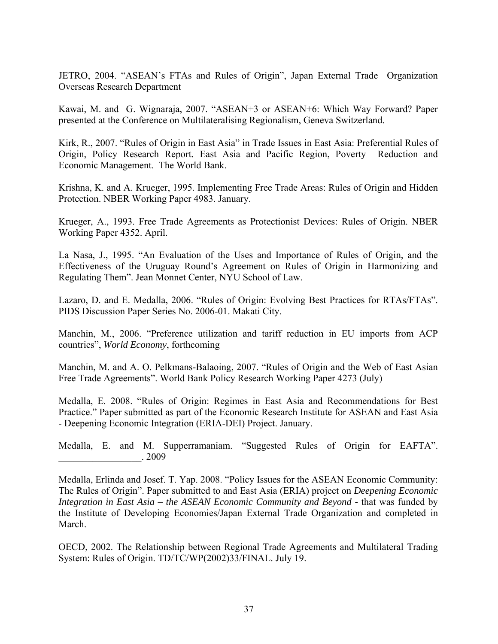JETRO, 2004. "ASEAN's FTAs and Rules of Origin", Japan External Trade Organization Overseas Research Department

Kawai, M. and G. Wignaraja, 2007. "ASEAN+3 or ASEAN+6: Which Way Forward? Paper presented at the Conference on Multilateralising Regionalism, Geneva Switzerland.

Kirk, R., 2007. "Rules of Origin in East Asia" in Trade Issues in East Asia: Preferential Rules of Origin, Policy Research Report. East Asia and Pacific Region, Poverty Reduction and Economic Management. The World Bank.

Krishna, K. and A. Krueger, 1995. Implementing Free Trade Areas: Rules of Origin and Hidden Protection. NBER Working Paper 4983. January.

Krueger, A., 1993. Free Trade Agreements as Protectionist Devices: Rules of Origin. NBER Working Paper 4352. April.

La Nasa, J., 1995. "An Evaluation of the Uses and Importance of Rules of Origin, and the Effectiveness of the Uruguay Round's Agreement on Rules of Origin in Harmonizing and Regulating Them". Jean Monnet Center, NYU School of Law.

Lazaro, D. and E. Medalla, 2006. "Rules of Origin: Evolving Best Practices for RTAs/FTAs". PIDS Discussion Paper Series No. 2006-01. Makati City.

Manchin, M., 2006. "Preference utilization and tariff reduction in EU imports from ACP countries", *World Economy*, forthcoming

Manchin, M. and A. O. Pelkmans-Balaoing, 2007. "Rules of Origin and the Web of East Asian Free Trade Agreements". World Bank Policy Research Working Paper 4273 (July)

Medalla, E. 2008. "Rules of Origin: Regimes in East Asia and Recommendations for Best Practice." Paper submitted as part of the Economic Research Institute for ASEAN and East Asia - Deepening Economic Integration (ERIA-DEI) Project. January.

Medalla, E. and M. Supperramaniam. "Suggested Rules of Origin for EAFTA". \_\_\_\_\_\_\_\_\_\_\_\_\_\_\_\_\_. 2009

Medalla, Erlinda and Josef. T. Yap. 2008. "Policy Issues for the ASEAN Economic Community: The Rules of Origin". Paper submitted to and East Asia (ERIA) project on *Deepening Economic Integration in East Asia – the ASEAN Economic Community and Beyond - that was funded by* the Institute of Developing Economies/Japan External Trade Organization and completed in March.

OECD, 2002. The Relationship between Regional Trade Agreements and Multilateral Trading System: Rules of Origin. TD/TC/WP(2002)33/FINAL. July 19.